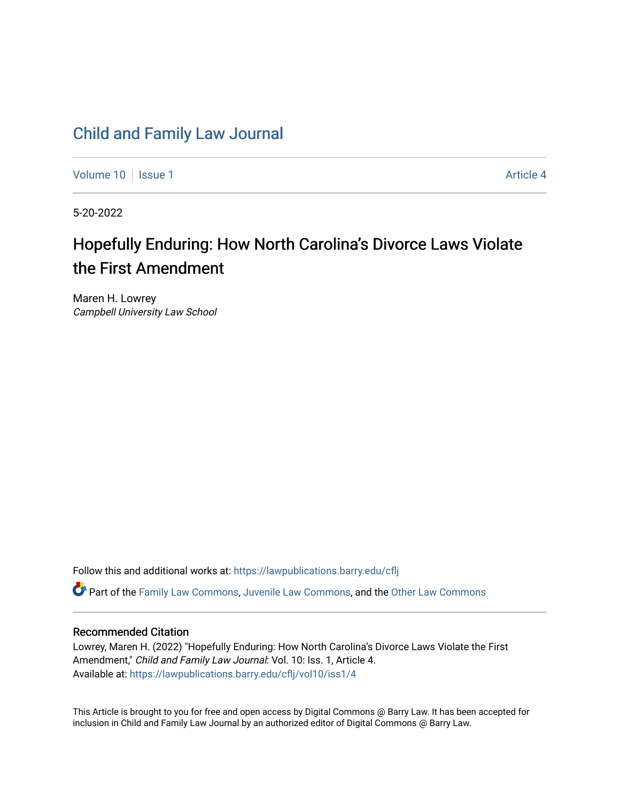# [Child and Family Law Journal](https://lawpublications.barry.edu/cflj)

[Volume 10](https://lawpublications.barry.edu/cflj/vol10) | [Issue 1](https://lawpublications.barry.edu/cflj/vol10/iss1) Article 4

5-20-2022

# Hopefully Enduring: How North Carolina's Divorce Laws Violate the First Amendment

Maren H. Lowrey Campbell University Law School

Follow this and additional works at: [https://lawpublications.barry.edu/cflj](https://lawpublications.barry.edu/cflj?utm_source=lawpublications.barry.edu%2Fcflj%2Fvol10%2Fiss1%2F4&utm_medium=PDF&utm_campaign=PDFCoverPages)

Part of the [Family Law Commons,](https://network.bepress.com/hgg/discipline/602?utm_source=lawpublications.barry.edu%2Fcflj%2Fvol10%2Fiss1%2F4&utm_medium=PDF&utm_campaign=PDFCoverPages) [Juvenile Law Commons](https://network.bepress.com/hgg/discipline/851?utm_source=lawpublications.barry.edu%2Fcflj%2Fvol10%2Fiss1%2F4&utm_medium=PDF&utm_campaign=PDFCoverPages), and the [Other Law Commons](https://network.bepress.com/hgg/discipline/621?utm_source=lawpublications.barry.edu%2Fcflj%2Fvol10%2Fiss1%2F4&utm_medium=PDF&utm_campaign=PDFCoverPages)

### Recommended Citation

Lowrey, Maren H. (2022) "Hopefully Enduring: How North Carolina's Divorce Laws Violate the First Amendment," Child and Family Law Journal: Vol. 10: Iss. 1, Article 4. Available at: [https://lawpublications.barry.edu/cflj/vol10/iss1/4](https://lawpublications.barry.edu/cflj/vol10/iss1/4?utm_source=lawpublications.barry.edu%2Fcflj%2Fvol10%2Fiss1%2F4&utm_medium=PDF&utm_campaign=PDFCoverPages) 

This Article is brought to you for free and open access by Digital Commons @ Barry Law. It has been accepted for inclusion in Child and Family Law Journal by an authorized editor of Digital Commons @ Barry Law.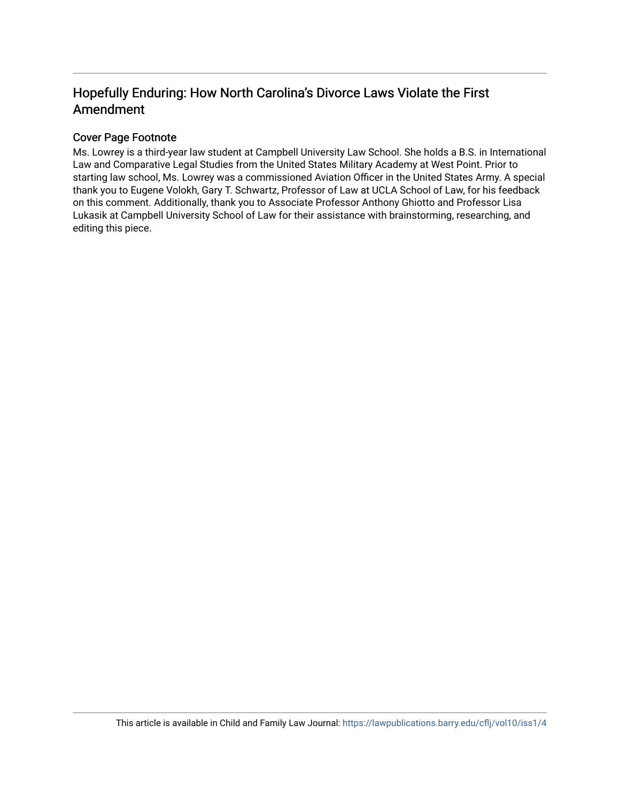# Hopefully Enduring: How North Carolina's Divorce Laws Violate the First Amendment

# Cover Page Footnote

Ms. Lowrey is a third-year law student at Campbell University Law School. She holds a B.S. in International Law and Comparative Legal Studies from the United States Military Academy at West Point. Prior to starting law school, Ms. Lowrey was a commissioned Aviation Officer in the United States Army. A special thank you to Eugene Volokh, Gary T. Schwartz, Professor of Law at UCLA School of Law, for his feedback on this comment. Additionally, thank you to Associate Professor Anthony Ghiotto and Professor Lisa Lukasik at Campbell University School of Law for their assistance with brainstorming, researching, and editing this piece.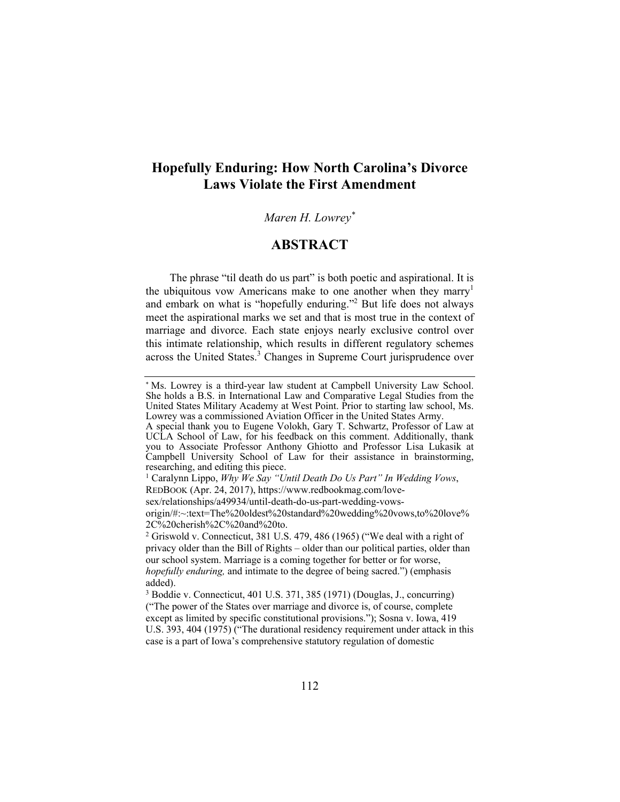# **Hopefully Enduring: How North Carolina's Divorce Laws Violate the First Amendment**

### *Maren H. Lowrey\**

## **ABSTRACT**

The phrase "til death do us part" is both poetic and aspirational. It is the ubiquitous vow Americans make to one another when they marry<sup>1</sup> and embark on what is "hopefully enduring."<sup>2</sup> But life does not always meet the aspirational marks we set and that is most true in the context of marriage and divorce. Each state enjoys nearly exclusive control over this intimate relationship, which results in different regulatory schemes across the United States.<sup>3</sup> Changes in Supreme Court jurisprudence over

<sup>\*</sup> Ms. Lowrey is a third-year law student at Campbell University Law School. She holds a B.S. in International Law and Comparative Legal Studies from the United States Military Academy at West Point. Prior to starting law school, Ms. Lowrey was a commissioned Aviation Officer in the United States Army.

A special thank you to Eugene Volokh, Gary T. Schwartz, Professor of Law at UCLA School of Law, for his feedback on this comment. Additionally, thank you to Associate Professor Anthony Ghiotto and Professor Lisa Lukasik at Campbell University School of Law for their assistance in brainstorming, researching, and editing this piece.

<sup>1</sup> Caralynn Lippo, *Why We Say "Until Death Do Us Part" In Wedding Vows*, REDBOOK (Apr. 24, 2017), https://www.redbookmag.com/lovesex/relationships/a49934/until-death-do-us-part-wedding-vows-

origin/#:~:text=The%20oldest%20standard%20wedding%20vows,to%20love% 2C%20cherish%2C%20and%20to.

<sup>&</sup>lt;sup>2</sup> Griswold v. Connecticut, 381 U.S. 479, 486 (1965) ("We deal with a right of privacy older than the Bill of Rights – older than our political parties, older than our school system. Marriage is a coming together for better or for worse, *hopefully enduring,* and intimate to the degree of being sacred.") (emphasis added).

<sup>3</sup> Boddie v. Connecticut, 401 U.S. 371, 385 (1971) (Douglas, J., concurring) ("The power of the States over marriage and divorce is, of course, complete except as limited by specific constitutional provisions."); Sosna v. Iowa, 419 U.S. 393, 404 (1975) ("The durational residency requirement under attack in this case is a part of Iowa's comprehensive statutory regulation of domestic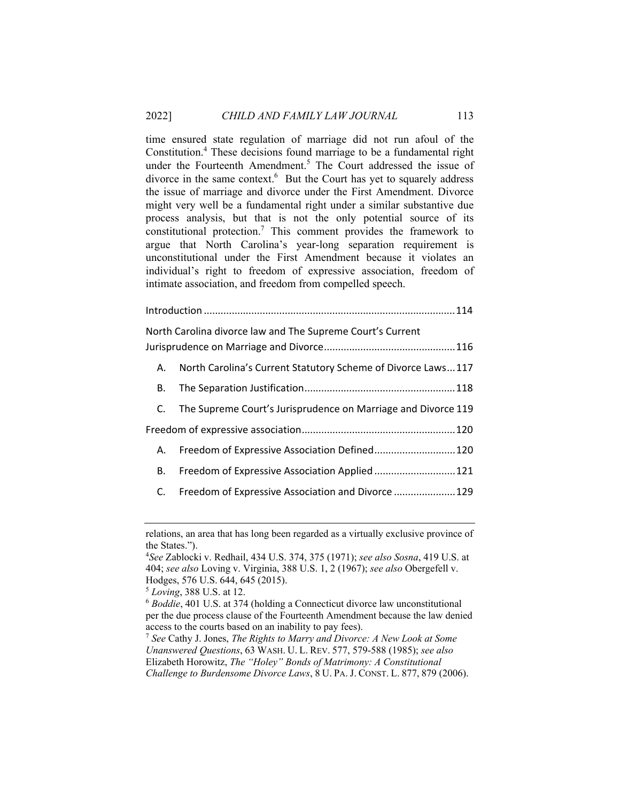time ensured state regulation of marriage did not run afoul of the Constitution.4 These decisions found marriage to be a fundamental right under the Fourteenth Amendment.<sup>5</sup> The Court addressed the issue of divorce in the same context.<sup>6</sup> But the Court has yet to squarely address the issue of marriage and divorce under the First Amendment. Divorce might very well be a fundamental right under a similar substantive due process analysis, but that is not the only potential source of its constitutional protection.<sup>7</sup> This comment provides the framework to argue that North Carolina's year-long separation requirement is unconstitutional under the First Amendment because it violates an individual's right to freedom of expressive association, freedom of intimate association, and freedom from compelled speech.

|    | North Carolina divorce law and The Supreme Court's Current    |
|----|---------------------------------------------------------------|
|    |                                                               |
| А. | North Carolina's Current Statutory Scheme of Divorce Laws117  |
| В. |                                                               |
| C. | The Supreme Court's Jurisprudence on Marriage and Divorce 119 |
|    |                                                               |
| А. | Freedom of Expressive Association Defined 120                 |
| В. | Freedom of Expressive Association Applied 121                 |
| C. | Freedom of Expressive Association and Divorce  129            |

relations, an area that has long been regarded as a virtually exclusive province of the States.").

<sup>4</sup> *See* Zablocki v. Redhail, 434 U.S. 374, 375 (1971); *see also Sosna*, 419 U.S. at 404; *see also* Loving v. Virginia, 388 U.S. 1, 2 (1967); *see also* Obergefell v. Hodges, 576 U.S. 644, 645 (2015).

<sup>&</sup>lt;sup>5</sup> *Loving*, 388 U.S. at 12.<br><sup>6</sup> *Boddie*, 401 U.S. at 374 (holding a Connecticut divorce law unconstitutional per the due process clause of the Fourteenth Amendment because the law denied access to the courts based on an inability to pay fees). 7 *See* Cathy J. Jones, *The Rights to Marry and Divorce: A New Look at Some* 

*Unanswered Questions*, 63 WASH. U. L. REV. 577, 579-588 (1985); *see also* Elizabeth Horowitz, *The "Holey" Bonds of Matrimony: A Constitutional Challenge to Burdensome Divorce Laws*, 8 U. PA. J. CONST. L. 877, 879 (2006).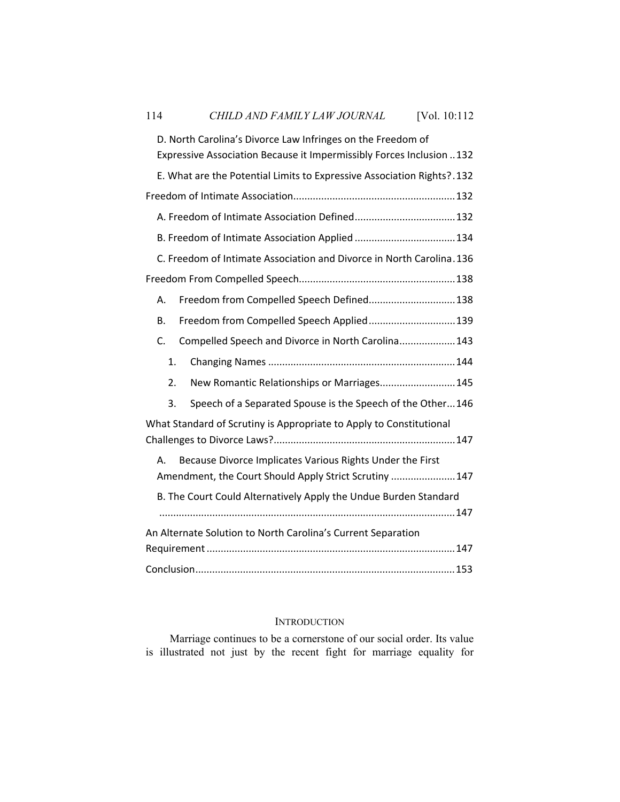| 114                                                                                                                                 | CHILD AND FAMILY LAW JOURNAL                                           | [Vol. 10:112 |  |
|-------------------------------------------------------------------------------------------------------------------------------------|------------------------------------------------------------------------|--------------|--|
| D. North Carolina's Divorce Law Infringes on the Freedom of<br>Expressive Association Because it Impermissibly Forces Inclusion 132 |                                                                        |              |  |
|                                                                                                                                     | E. What are the Potential Limits to Expressive Association Rights?.132 |              |  |
|                                                                                                                                     |                                                                        |              |  |
|                                                                                                                                     | A. Freedom of Intimate Association Defined132                          |              |  |
|                                                                                                                                     |                                                                        |              |  |
| C. Freedom of Intimate Association and Divorce in North Carolina. 136                                                               |                                                                        |              |  |
|                                                                                                                                     |                                                                        |              |  |
| А.                                                                                                                                  | Freedom from Compelled Speech Defined 138                              |              |  |
| В.                                                                                                                                  | Freedom from Compelled Speech Applied 139                              |              |  |
| C.                                                                                                                                  | Compelled Speech and Divorce in North Carolina 143                     |              |  |
| 1.                                                                                                                                  |                                                                        |              |  |
| 2.                                                                                                                                  | New Romantic Relationships or Marriages 145                            |              |  |
| 3.                                                                                                                                  | Speech of a Separated Spouse is the Speech of the Other146             |              |  |
| What Standard of Scrutiny is Appropriate to Apply to Constitutional                                                                 |                                                                        |              |  |
| Because Divorce Implicates Various Rights Under the First<br>Α.<br>Amendment, the Court Should Apply Strict Scrutiny  147           |                                                                        |              |  |
|                                                                                                                                     | B. The Court Could Alternatively Apply the Undue Burden Standard       |              |  |
| An Alternate Solution to North Carolina's Current Separation                                                                        |                                                                        |              |  |
|                                                                                                                                     |                                                                        |              |  |
|                                                                                                                                     |                                                                        |              |  |

# INTRODUCTION

Marriage continues to be a cornerstone of our social order. Its value is illustrated not just by the recent fight for marriage equality for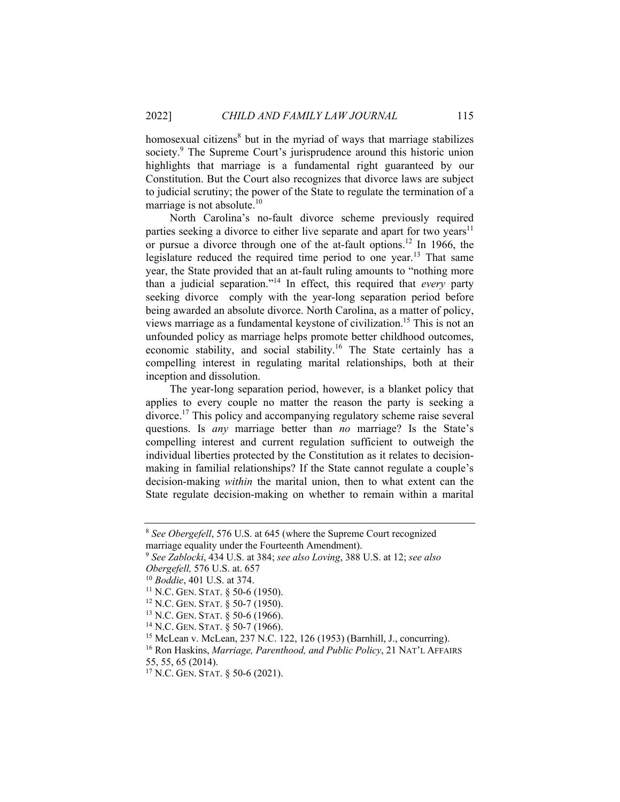homosexual citizens<sup>8</sup> but in the myriad of ways that marriage stabilizes society.<sup>9</sup> The Supreme Court's jurisprudence around this historic union highlights that marriage is a fundamental right guaranteed by our Constitution. But the Court also recognizes that divorce laws are subject to judicial scrutiny; the power of the State to regulate the termination of a marriage is not absolute. $10$ 

North Carolina's no-fault divorce scheme previously required parties seeking a divorce to either live separate and apart for two years<sup>11</sup> or pursue a divorce through one of the at-fault options.<sup>12</sup> In 1966, the legislature reduced the required time period to one year.<sup>13</sup> That same year, the State provided that an at-fault ruling amounts to "nothing more than a judicial separation."14 In effect, this required that *every* party seeking divorce comply with the year-long separation period before being awarded an absolute divorce. North Carolina, as a matter of policy, views marriage as a fundamental keystone of civilization.<sup>15</sup> This is not an unfounded policy as marriage helps promote better childhood outcomes, economic stability, and social stability.<sup>16</sup> The State certainly has a compelling interest in regulating marital relationships, both at their inception and dissolution.

The year-long separation period, however, is a blanket policy that applies to every couple no matter the reason the party is seeking a divorce.17 This policy and accompanying regulatory scheme raise several questions. Is *any* marriage better than *no* marriage? Is the State's compelling interest and current regulation sufficient to outweigh the individual liberties protected by the Constitution as it relates to decisionmaking in familial relationships? If the State cannot regulate a couple's decision-making *within* the marital union, then to what extent can the State regulate decision-making on whether to remain within a marital

<sup>8</sup> *See Obergefell*, 576 U.S. at 645 (where the Supreme Court recognized marriage equality under the Fourteenth Amendment).

<sup>9</sup> *See Zablocki*, 434 U.S. at 384; *see also Loving*, 388 U.S. at 12; *see also* Obergefell, 576 U.S. at 657<br>
<sup>10</sup> Boddie, 401 U.S. at 374.<br>
<sup>11</sup> N.C. GEN. STAT. § 50-6 (1950).<br>
<sup>12</sup> N.C. GEN. STAT. § 50-7 (1950).<br>
<sup>13</sup> N.C. GEN. STAT. § 50-6 (1966).<br>
<sup>14</sup> N.C. GEN. STAT. § 50-7 (1966).<br>
<sup>14</sup> N.C. GEN.

<sup>55, 55, 65 (2014).</sup>

<sup>17</sup> N.C. GEN. STAT. § 50-6 (2021).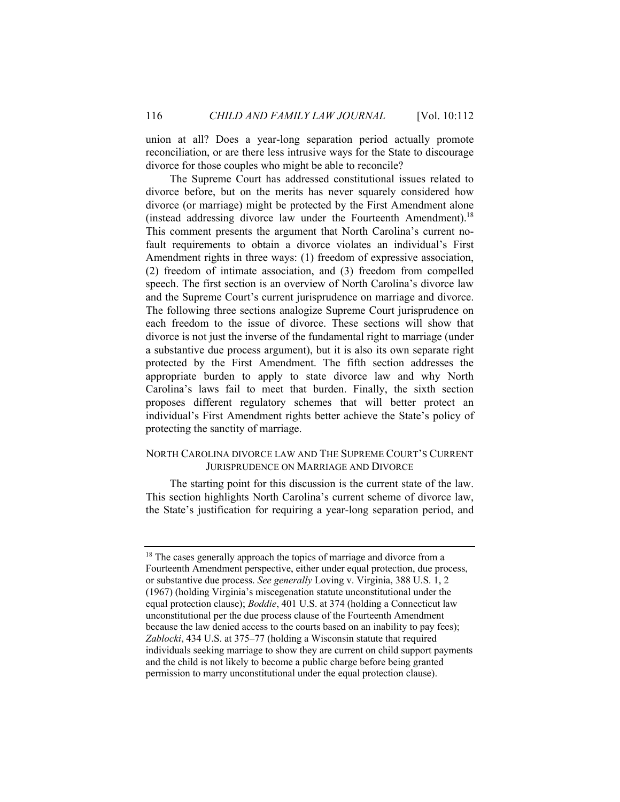union at all? Does a year-long separation period actually promote reconciliation, or are there less intrusive ways for the State to discourage divorce for those couples who might be able to reconcile?

The Supreme Court has addressed constitutional issues related to divorce before, but on the merits has never squarely considered how divorce (or marriage) might be protected by the First Amendment alone (instead addressing divorce law under the Fourteenth Amendment).18 This comment presents the argument that North Carolina's current nofault requirements to obtain a divorce violates an individual's First Amendment rights in three ways: (1) freedom of expressive association, (2) freedom of intimate association, and (3) freedom from compelled speech. The first section is an overview of North Carolina's divorce law and the Supreme Court's current jurisprudence on marriage and divorce. The following three sections analogize Supreme Court jurisprudence on each freedom to the issue of divorce. These sections will show that divorce is not just the inverse of the fundamental right to marriage (under a substantive due process argument), but it is also its own separate right protected by the First Amendment. The fifth section addresses the appropriate burden to apply to state divorce law and why North Carolina's laws fail to meet that burden. Finally, the sixth section proposes different regulatory schemes that will better protect an individual's First Amendment rights better achieve the State's policy of protecting the sanctity of marriage.

#### NORTH CAROLINA DIVORCE LAW AND THE SUPREME COURT'S CURRENT JURISPRUDENCE ON MARRIAGE AND DIVORCE

The starting point for this discussion is the current state of the law. This section highlights North Carolina's current scheme of divorce law, the State's justification for requiring a year-long separation period, and

<sup>&</sup>lt;sup>18</sup> The cases generally approach the topics of marriage and divorce from a Fourteenth Amendment perspective, either under equal protection, due process, or substantive due process. *See generally* Loving v. Virginia, 388 U.S. 1, 2 (1967) (holding Virginia's miscegenation statute unconstitutional under the equal protection clause); *Boddie*, 401 U.S. at 374 (holding a Connecticut law unconstitutional per the due process clause of the Fourteenth Amendment because the law denied access to the courts based on an inability to pay fees); *Zablocki*, 434 U.S. at 375–77 (holding a Wisconsin statute that required individuals seeking marriage to show they are current on child support payments and the child is not likely to become a public charge before being granted permission to marry unconstitutional under the equal protection clause).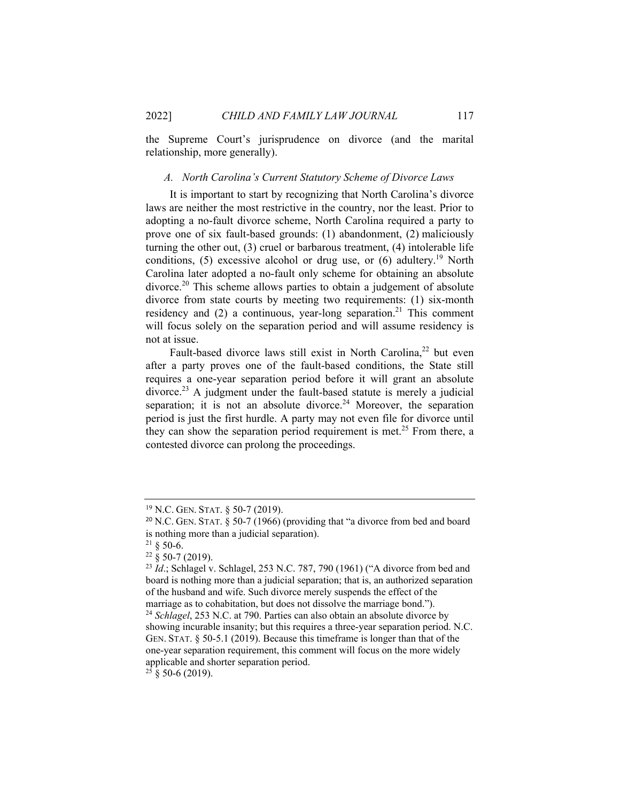the Supreme Court's jurisprudence on divorce (and the marital relationship, more generally).

#### *A. North Carolina's Current Statutory Scheme of Divorce Laws*

It is important to start by recognizing that North Carolina's divorce laws are neither the most restrictive in the country, nor the least. Prior to adopting a no-fault divorce scheme, North Carolina required a party to prove one of six fault-based grounds: (1) abandonment, (2) maliciously turning the other out, (3) cruel or barbarous treatment, (4) intolerable life conditions, (5) excessive alcohol or drug use, or (6) adultery.<sup>19</sup> North Carolina later adopted a no-fault only scheme for obtaining an absolute divorce.<sup>20</sup> This scheme allows parties to obtain a judgement of absolute divorce from state courts by meeting two requirements: (1) six-month residency and  $(2)$  a continuous, year-long separation.<sup>21</sup> This comment will focus solely on the separation period and will assume residency is not at issue.

Fault-based divorce laws still exist in North Carolina,<sup>22</sup> but even after a party proves one of the fault-based conditions, the State still requires a one-year separation period before it will grant an absolute  $divorce.<sup>23</sup>$  A judgment under the fault-based statute is merely a judicial separation; it is not an absolute divorce.<sup>24</sup> Moreover, the separation period is just the first hurdle. A party may not even file for divorce until they can show the separation period requirement is met.<sup>25</sup> From there, a contested divorce can prolong the proceedings.

 $21 \& 50-6.$ 

 $25 \S 50-6 (2019)$ .

<sup>19</sup> N.C. GEN. STAT. § 50-7 (2019).

<sup>20</sup> N.C. GEN. STAT. § 50-7 (1966) (providing that "a divorce from bed and board is nothing more than a judicial separation).

 $22\frac{8}{9}$  50-7 (2019).

<sup>&</sup>lt;sup>23</sup> *Id.*; Schlagel v. Schlagel, 253 N.C. 787, 790 (1961) ("A divorce from bed and board is nothing more than a judicial separation; that is, an authorized separation of the husband and wife. Such divorce merely suspends the effect of the marriage as to cohabitation, but does not dissolve the marriage bond."). <sup>24</sup> *Schlagel*, 253 N.C. at 790. Parties can also obtain an absolute divorce by showing incurable insanity; but this requires a three-year separation period. N.C. GEN. STAT. § 50-5.1 (2019). Because this timeframe is longer than that of the one-year separation requirement, this comment will focus on the more widely applicable and shorter separation period.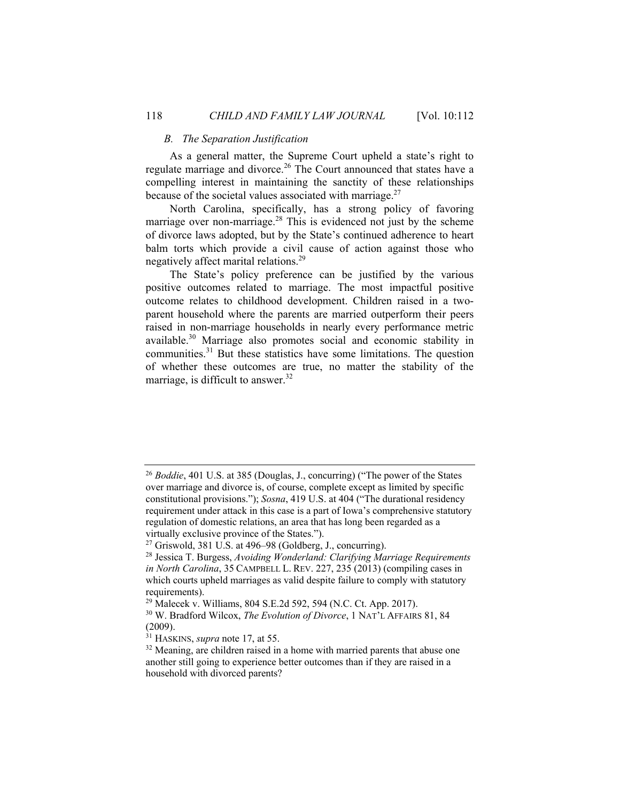#### *B. The Separation Justification*

As a general matter, the Supreme Court upheld a state's right to regulate marriage and divorce.<sup>26</sup> The Court announced that states have a compelling interest in maintaining the sanctity of these relationships because of the societal values associated with marriage. $27$ 

North Carolina, specifically, has a strong policy of favoring marriage over non-marriage.<sup>28</sup> This is evidenced not just by the scheme of divorce laws adopted, but by the State's continued adherence to heart balm torts which provide a civil cause of action against those who negatively affect marital relations.29

The State's policy preference can be justified by the various positive outcomes related to marriage. The most impactful positive outcome relates to childhood development. Children raised in a twoparent household where the parents are married outperform their peers raised in non-marriage households in nearly every performance metric available.30 Marriage also promotes social and economic stability in communities.<sup>31</sup> But these statistics have some limitations. The question of whether these outcomes are true, no matter the stability of the marriage, is difficult to answer.<sup>32</sup>

<sup>&</sup>lt;sup>26</sup> *Boddie*, 401 U.S. at 385 (Douglas, J., concurring) ("The power of the States over marriage and divorce is, of course, complete except as limited by specific constitutional provisions."); *Sosna*, 419 U.S. at 404 ("The durational residency requirement under attack in this case is a part of Iowa's comprehensive statutory regulation of domestic relations, an area that has long been regarded as a virtually exclusive province of the States."). 27 Griswold, 381 U.S. at 496–98 (Goldberg, J., concurring).

<sup>28</sup> Jessica T. Burgess, *Avoiding Wonderland: Clarifying Marriage Requirements in North Carolina*, 35 CAMPBELL L. REV. 227, 235 (2013) (compiling cases in which courts upheld marriages as valid despite failure to comply with statutory requirements).

<sup>29</sup> Malecek v. Williams, 804 S.E.2d 592, 594 (N.C. Ct. App. 2017).

<sup>30</sup> W. Bradford Wilcox, *The Evolution of Divorce*, 1 NAT'L AFFAIRS 81, 84  $(2009)$ .<br><sup>31</sup> HASKINS, *supra* note 17, at 55.

<sup>&</sup>lt;sup>32</sup> Meaning, are children raised in a home with married parents that abuse one another still going to experience better outcomes than if they are raised in a household with divorced parents?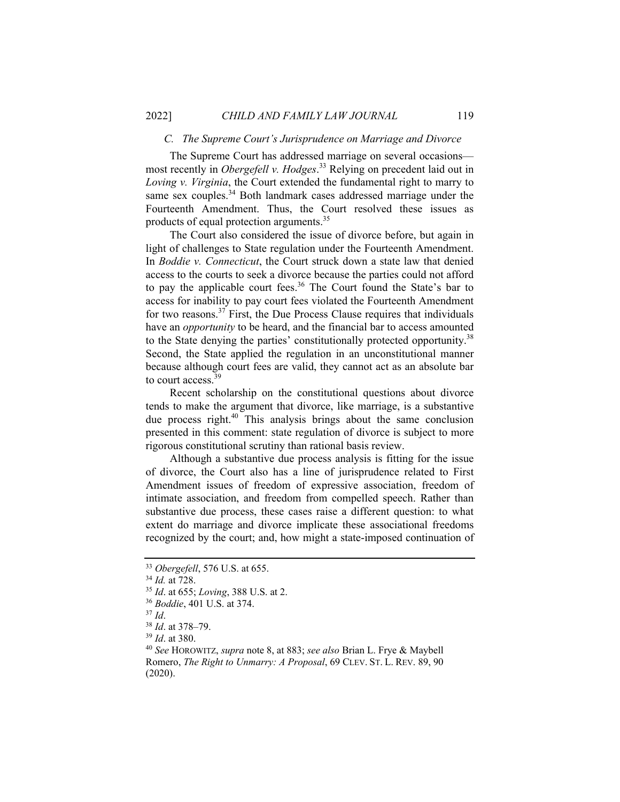#### *C. The Supreme Court's Jurisprudence on Marriage and Divorce*

The Supreme Court has addressed marriage on several occasions most recently in *Obergefell v. Hodges*. 33 Relying on precedent laid out in *Loving v. Virginia*, the Court extended the fundamental right to marry to same sex couples.<sup>34</sup> Both landmark cases addressed marriage under the Fourteenth Amendment. Thus, the Court resolved these issues as products of equal protection arguments.<sup>35</sup>

The Court also considered the issue of divorce before, but again in light of challenges to State regulation under the Fourteenth Amendment. In *Boddie v. Connecticut*, the Court struck down a state law that denied access to the courts to seek a divorce because the parties could not afford to pay the applicable court fees.<sup>36</sup> The Court found the State's bar to access for inability to pay court fees violated the Fourteenth Amendment for two reasons.<sup>37</sup> First, the Due Process Clause requires that individuals have an *opportunity* to be heard, and the financial bar to access amounted to the State denying the parties' constitutionally protected opportunity.<sup>38</sup> Second, the State applied the regulation in an unconstitutional manner because although court fees are valid, they cannot act as an absolute bar to court access.<sup>39</sup>

Recent scholarship on the constitutional questions about divorce tends to make the argument that divorce, like marriage, is a substantive due process right.<sup>40</sup> This analysis brings about the same conclusion presented in this comment: state regulation of divorce is subject to more rigorous constitutional scrutiny than rational basis review.

Although a substantive due process analysis is fitting for the issue of divorce, the Court also has a line of jurisprudence related to First Amendment issues of freedom of expressive association, freedom of intimate association, and freedom from compelled speech. Rather than substantive due process, these cases raise a different question: to what extent do marriage and divorce implicate these associational freedoms recognized by the court; and, how might a state-imposed continuation of

<sup>&</sup>lt;sup>33</sup> *Obergefell*, 576 U.S. at 655.<br><sup>34</sup> *Id.* at 728.<br><sup>35</sup> *Id.* at 655; *Loving*, 388 U.S. at 2.<br><sup>36</sup> *Boddie*, 401 U.S. at 374.<br><sup>37</sup> *Id.*<br><sup>38</sup> *Id.* at 378–79.<br><sup>39</sup> *Id.* at 380.<br><sup>40</sup> *See* HOROWITZ, *supra* note 8, at Romero, *The Right to Unmarry: A Proposal*, 69 CLEV. ST. L. REV. 89, 90 (2020).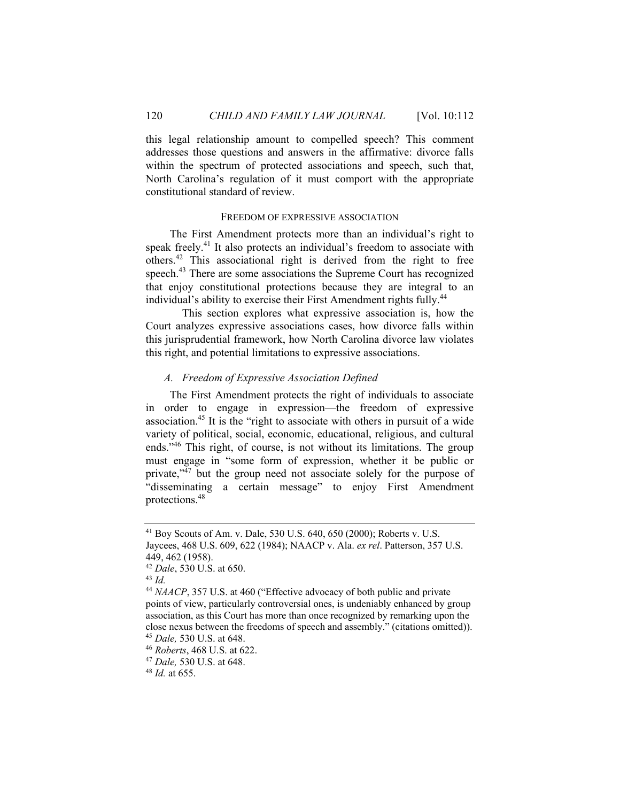this legal relationship amount to compelled speech? This comment addresses those questions and answers in the affirmative: divorce falls within the spectrum of protected associations and speech, such that, North Carolina's regulation of it must comport with the appropriate constitutional standard of review.

#### FREEDOM OF EXPRESSIVE ASSOCIATION

The First Amendment protects more than an individual's right to speak freely.<sup>41</sup> It also protects an individual's freedom to associate with others.42 This associational right is derived from the right to free speech.<sup>43</sup> There are some associations the Supreme Court has recognized that enjoy constitutional protections because they are integral to an individual's ability to exercise their First Amendment rights fully.<sup>44</sup>

 This section explores what expressive association is, how the Court analyzes expressive associations cases, how divorce falls within this jurisprudential framework, how North Carolina divorce law violates this right, and potential limitations to expressive associations.

#### *A. Freedom of Expressive Association Defined*

The First Amendment protects the right of individuals to associate in order to engage in expression—the freedom of expressive association.45 It is the "right to associate with others in pursuit of a wide variety of political, social, economic, educational, religious, and cultural ends."46 This right, of course, is not without its limitations. The group must engage in "some form of expression, whether it be public or private,"<sup>47</sup> but the group need not associate solely for the purpose of "disseminating a certain message" to enjoy First Amendment protections.48

<sup>41</sup> Boy Scouts of Am. v. Dale, 530 U.S. 640, 650 (2000); Roberts v. U.S. Jaycees, 468 U.S. 609, 622 (1984); NAACP v. Ala. *ex rel*. Patterson, 357 U.S. 449, 462 (1958).

<sup>42</sup> *Dale*, 530 U.S. at 650. 43 *Id.*

<sup>&</sup>lt;sup>44</sup> *NAACP*, 357 U.S. at 460 ("Effective advocacy of both public and private points of view, particularly controversial ones, is undeniably enhanced by group association, as this Court has more than once recognized by remarking upon the close nexus between the freedoms of speech and assembly." (citations omitted)).

<sup>45</sup> *Dale,* 530 U.S. at 648. 46 *Roberts*, 468 U.S. at 622. 47 *Dale,* 530 U.S. at 648. 48 *Id.* at 655.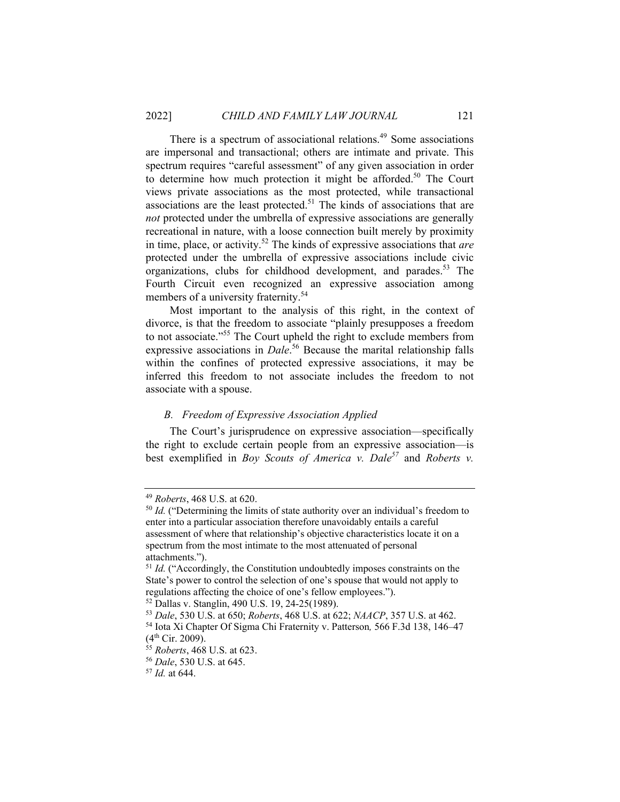There is a spectrum of associational relations.<sup>49</sup> Some associations are impersonal and transactional; others are intimate and private. This spectrum requires "careful assessment" of any given association in order to determine how much protection it might be afforded.<sup>50</sup> The Court views private associations as the most protected, while transactional associations are the least protected.<sup>51</sup> The kinds of associations that are *not* protected under the umbrella of expressive associations are generally recreational in nature, with a loose connection built merely by proximity in time, place, or activity.52 The kinds of expressive associations that *are* protected under the umbrella of expressive associations include civic organizations, clubs for childhood development, and parades.<sup>53</sup> The Fourth Circuit even recognized an expressive association among members of a university fraternity.<sup>54</sup>

Most important to the analysis of this right, in the context of divorce, is that the freedom to associate "plainly presupposes a freedom to not associate."55 The Court upheld the right to exclude members from expressive associations in *Dale*. 56 Because the marital relationship falls within the confines of protected expressive associations, it may be inferred this freedom to not associate includes the freedom to not associate with a spouse.

#### *B. Freedom of Expressive Association Applied*

The Court's jurisprudence on expressive association—specifically the right to exclude certain people from an expressive association—is best exemplified in *Boy Scouts of America v. Dale<sup>57</sup>* and *Roberts v.* 

<sup>&</sup>lt;sup>49</sup> *Roberts*, 468 U.S. at 620.<br><sup>50</sup> *Id.* ("Determining the limits of state authority over an individual's freedom to enter into a particular association therefore unavoidably entails a careful assessment of where that relationship's objective characteristics locate it on a spectrum from the most intimate to the most attenuated of personal attachments.").

<sup>&</sup>lt;sup>51</sup> *Id.* ("Accordingly, the Constitution undoubtedly imposes constraints on the State's power to control the selection of one's spouse that would not apply to regulations affecting the choice of one's fellow employees.").

<sup>52</sup> Dallas v. Stanglin, 490 U.S. 19, 24-25(1989).

<sup>53</sup> *Dale*, 530 U.S. at 650; *Roberts*, 468 U.S. at 622; *NAACP*, 357 U.S. at 462. 54 Iota Xi Chapter Of Sigma Chi Fraternity v. Patterson*,* 566 F.3d 138, 146–47

<sup>(4</sup>th Cir. 2009). 55 *Roberts*, 468 U.S. at 623. 56 *Dale*, 530 U.S. at 645. 57 *Id.* at 644.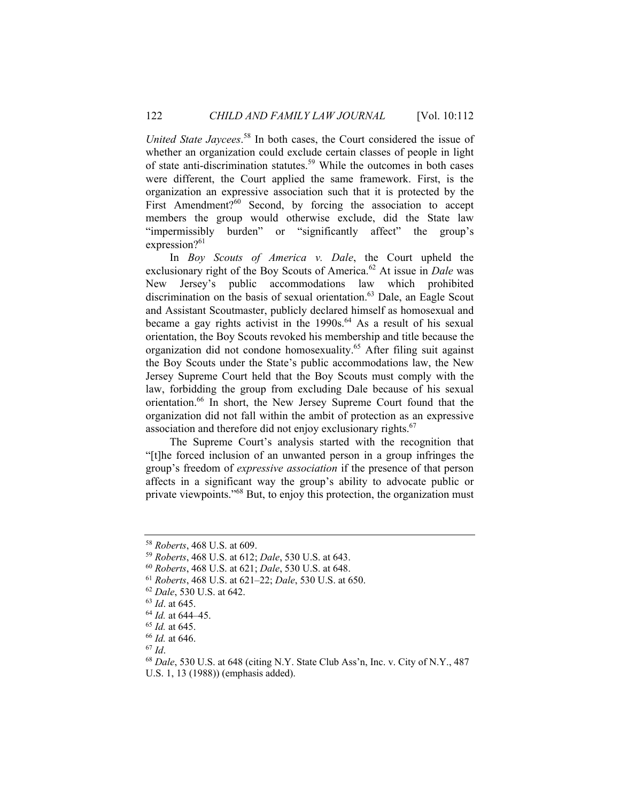*United State Jaycees*. 58 In both cases, the Court considered the issue of whether an organization could exclude certain classes of people in light of state anti-discrimination statutes.<sup>59</sup> While the outcomes in both cases were different, the Court applied the same framework. First, is the organization an expressive association such that it is protected by the First Amendment?<sup>60</sup> Second, by forcing the association to accept members the group would otherwise exclude, did the State law "impermissibly burden" or "significantly affect" the group's expression?<sup>61</sup>

In *Boy Scouts of America v. Dale*, the Court upheld the exclusionary right of the Boy Scouts of America.<sup>62</sup> At issue in *Dale* was New Jersey's public accommodations law which prohibited discrimination on the basis of sexual orientation.<sup>63</sup> Dale, an Eagle Scout and Assistant Scoutmaster, publicly declared himself as homosexual and became a gay rights activist in the  $1990s<sup>64</sup>$  As a result of his sexual orientation, the Boy Scouts revoked his membership and title because the organization did not condone homosexuality.<sup>65</sup> After filing suit against the Boy Scouts under the State's public accommodations law, the New Jersey Supreme Court held that the Boy Scouts must comply with the law, forbidding the group from excluding Dale because of his sexual orientation.<sup>66</sup> In short, the New Jersey Supreme Court found that the organization did not fall within the ambit of protection as an expressive association and therefore did not enjoy exclusionary rights.<sup>67</sup>

The Supreme Court's analysis started with the recognition that "[t]he forced inclusion of an unwanted person in a group infringes the group's freedom of *expressive association* if the presence of that person affects in a significant way the group's ability to advocate public or private viewpoints."68 But, to enjoy this protection, the organization must

<sup>58</sup> *Roberts*, 468 U.S. at 609.

<sup>&</sup>lt;sup>59</sup> Roberts, 468 U.S. at 612; *Dale*, 530 U.S. at 643.<br>
<sup>60</sup> Roberts, 468 U.S. at 621; *Dale*, 530 U.S. at 648.<br>
<sup>61</sup> Roberts, 468 U.S. at 621–22; *Dale*, 530 U.S. at 650.<br>
<sup>62</sup> *Dale*, 530 U.S. at 642.<br>
<sup>63</sup> *Id.* at 645 U.S. 1, 13 (1988)) (emphasis added).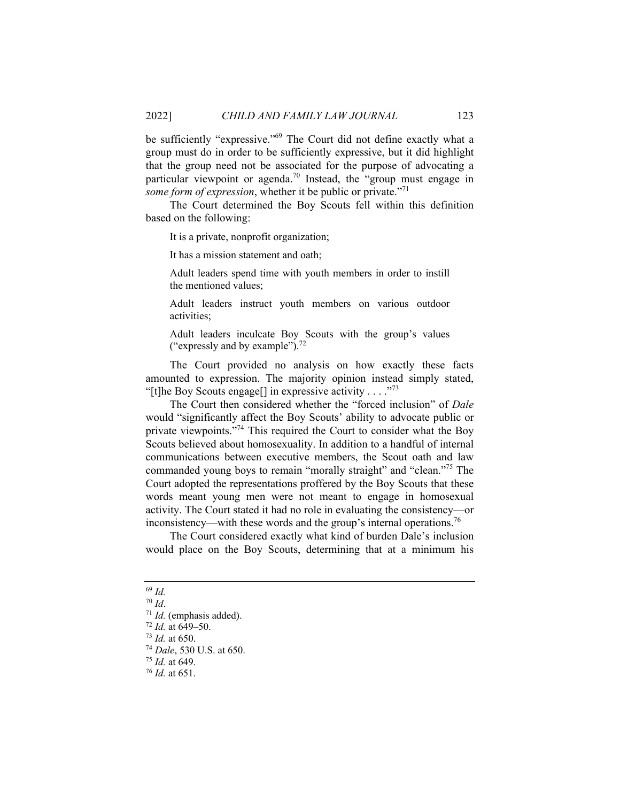be sufficiently "expressive."<sup>69</sup> The Court did not define exactly what a group must do in order to be sufficiently expressive, but it did highlight that the group need not be associated for the purpose of advocating a particular viewpoint or agenda.<sup>70</sup> Instead, the "group must engage in *some form of expression*, whether it be public or private."<sup>71</sup>

The Court determined the Boy Scouts fell within this definition based on the following:

It is a private, nonprofit organization;

It has a mission statement and oath;

Adult leaders spend time with youth members in order to instill the mentioned values;

Adult leaders instruct youth members on various outdoor activities;

Adult leaders inculcate Boy Scouts with the group's values ("expressly and by example"). $^{72}$ 

The Court provided no analysis on how exactly these facts amounted to expression. The majority opinion instead simply stated, "[t]he Boy Scouts engage[] in expressive activity . . . .  $\cdot$ <sup>73</sup>

The Court then considered whether the "forced inclusion" of *Dale* would "significantly affect the Boy Scouts' ability to advocate public or private viewpoints."74 This required the Court to consider what the Boy Scouts believed about homosexuality. In addition to a handful of internal communications between executive members, the Scout oath and law commanded young boys to remain "morally straight" and "clean."75 The Court adopted the representations proffered by the Boy Scouts that these words meant young men were not meant to engage in homosexual activity. The Court stated it had no role in evaluating the consistency—or inconsistency—with these words and the group's internal operations.<sup>76</sup>

The Court considered exactly what kind of burden Dale's inclusion would place on the Boy Scouts, determining that at a minimum his

 $\frac{69}{70}$  *Id.* 

<sup>71</sup> *Id.* (emphasis added).<br><sup>72</sup> *Id.* at 649–50.<br><sup>73</sup> *Id.* at 650.<br><sup>74</sup> *Dale*, 530 U.S. at 650.<br><sup>75</sup> *Id.* at 649.

<sup>&</sup>lt;sup>76</sup> *Id.* at 651.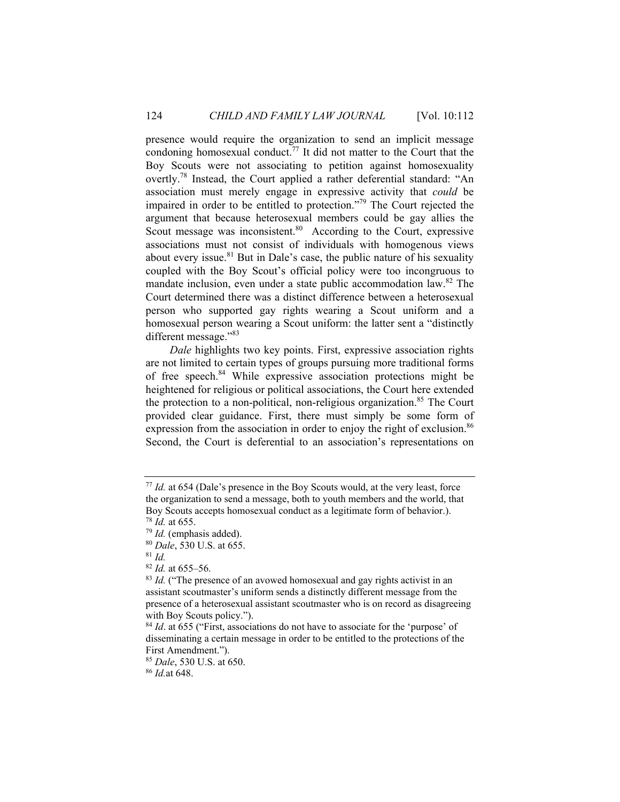presence would require the organization to send an implicit message condoning homosexual conduct.<sup>77</sup> It did not matter to the Court that the Boy Scouts were not associating to petition against homosexuality overtly.<sup>78</sup> Instead, the Court applied a rather deferential standard: "An association must merely engage in expressive activity that *could* be impaired in order to be entitled to protection."79 The Court rejected the argument that because heterosexual members could be gay allies the Scout message was inconsistent. $80$  According to the Court, expressive associations must not consist of individuals with homogenous views about every issue.<sup>81</sup> But in Dale's case, the public nature of his sexuality coupled with the Boy Scout's official policy were too incongruous to mandate inclusion, even under a state public accommodation law.82 The Court determined there was a distinct difference between a heterosexual person who supported gay rights wearing a Scout uniform and a homosexual person wearing a Scout uniform: the latter sent a "distinctly different message."83

*Dale* highlights two key points. First, expressive association rights are not limited to certain types of groups pursuing more traditional forms of free speech.84 While expressive association protections might be heightened for religious or political associations, the Court here extended the protection to a non-political, non-religious organization.<sup>85</sup> The Court provided clear guidance. First, there must simply be some form of expression from the association in order to enjoy the right of exclusion.<sup>86</sup> Second, the Court is deferential to an association's representations on

<sup>77</sup> *Id.* at 654 (Dale's presence in the Boy Scouts would, at the very least, force the organization to send a message, both to youth members and the world, that Boy Scouts accepts homosexual conduct as a legitimate form of behavior.).

<sup>78</sup> *Id.* at 655. 79 *Id.* (emphasis added). 80 *Dale*, 530 U.S. at 655. 81 *Id.*

<sup>82</sup> *Id.* at 655–56.

<sup>&</sup>lt;sup>83</sup> *Id.* ("The presence of an avowed homosexual and gay rights activist in an assistant scoutmaster's uniform sends a distinctly different message from the presence of a heterosexual assistant scoutmaster who is on record as disagreeing with Boy Scouts policy.").

<sup>84</sup> *Id*. at 655 ("First, associations do not have to associate for the 'purpose' of disseminating a certain message in order to be entitled to the protections of the First Amendment.").

<sup>85</sup> *Dale*, 530 U.S. at 650. 86 *Id.*at 648.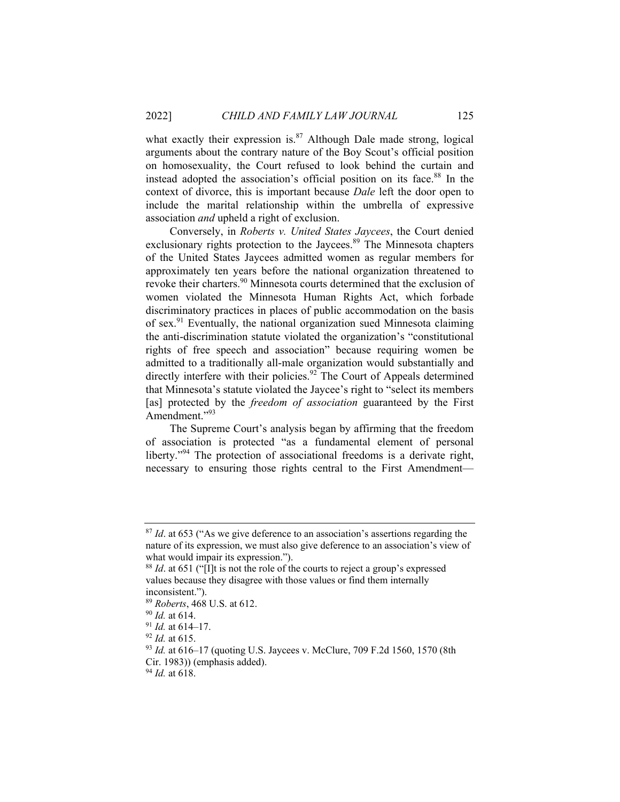what exactly their expression is.<sup>87</sup> Although Dale made strong, logical arguments about the contrary nature of the Boy Scout's official position on homosexuality, the Court refused to look behind the curtain and instead adopted the association's official position on its face.<sup>88</sup> In the context of divorce, this is important because *Dale* left the door open to include the marital relationship within the umbrella of expressive association *and* upheld a right of exclusion.

Conversely, in *Roberts v. United States Jaycees*, the Court denied exclusionary rights protection to the Jaycees.<sup>89</sup> The Minnesota chapters of the United States Jaycees admitted women as regular members for approximately ten years before the national organization threatened to revoke their charters.<sup>90</sup> Minnesota courts determined that the exclusion of women violated the Minnesota Human Rights Act, which forbade discriminatory practices in places of public accommodation on the basis of sex.91 Eventually, the national organization sued Minnesota claiming the anti-discrimination statute violated the organization's "constitutional rights of free speech and association" because requiring women be admitted to a traditionally all-male organization would substantially and directly interfere with their policies.<sup>92</sup> The Court of Appeals determined that Minnesota's statute violated the Jaycee's right to "select its members [as] protected by the *freedom of association* guaranteed by the First Amendment."<sup>93</sup>

The Supreme Court's analysis began by affirming that the freedom of association is protected "as a fundamental element of personal liberty."<sup>94</sup> The protection of associational freedoms is a derivate right, necessary to ensuring those rights central to the First Amendment—

<sup>&</sup>lt;sup>87</sup> *Id.* at 653 ("As we give deference to an association's assertions regarding the nature of its expression, we must also give deference to an association's view of what would impair its expression.").

<sup>88</sup> *Id*. at 651 ("[I]t is not the role of the courts to reject a group's expressed values because they disagree with those values or find them internally inconsistent.").

<sup>&</sup>lt;sup>89</sup> *Roberts*, 468 U.S. at 612.<br><sup>90</sup> *Id.* at 614–17.<br><sup>91</sup> *Id.* at 615.<br><sup>93</sup> *Id.* at 616–17 (quoting U.S. Jaycees v. McClure, 709 F.2d 1560, 1570 (8th Cir. 1983)) (emphasis added).

<sup>94</sup> *Id.* at 618.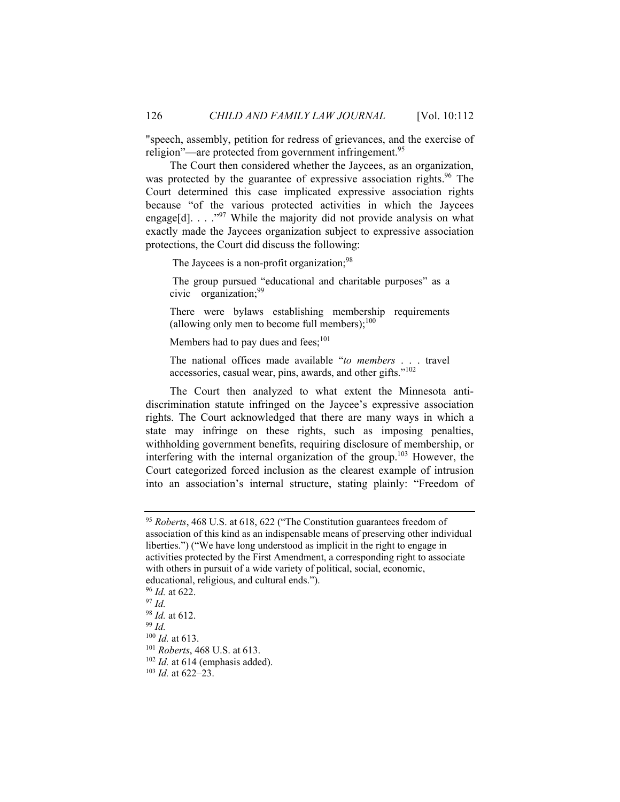"speech, assembly, petition for redress of grievances, and the exercise of religion"—are protected from government infringement.<sup>95</sup>

The Court then considered whether the Jaycees, as an organization, was protected by the guarantee of expressive association rights.<sup>96</sup> The Court determined this case implicated expressive association rights because "of the various protected activities in which the Jaycees engage[d].  $\ldots$   $\cdot$ <sup>97</sup>. While the majority did not provide analysis on what exactly made the Jaycees organization subject to expressive association protections, the Court did discuss the following:

The Jaycees is a non-profit organization;<sup>98</sup>

 The group pursued "educational and charitable purposes" as a civic organization;  $99$ 

There were bylaws establishing membership requirements (allowing only men to become full members); $100$ 

Members had to pay dues and fees;<sup>101</sup>

The national offices made available "*to members* . . . travel accessories, casual wear, pins, awards, and other gifts."102

The Court then analyzed to what extent the Minnesota antidiscrimination statute infringed on the Jaycee's expressive association rights. The Court acknowledged that there are many ways in which a state may infringe on these rights, such as imposing penalties, withholding government benefits, requiring disclosure of membership, or interfering with the internal organization of the group.<sup>103</sup> However, the Court categorized forced inclusion as the clearest example of intrusion into an association's internal structure, stating plainly: "Freedom of

- 
- <sup>96</sup> *Id.* at 622. 97 *Id.*
- 

<sup>100</sup> *Id.* at 613. 101 *Roberts*, 468 U.S. at 613.

<sup>102</sup> *Id.* at 614 (emphasis added). 103 *Id.* at 622–23.

<sup>95</sup> *Roberts*, 468 U.S. at 618, 622 ("The Constitution guarantees freedom of association of this kind as an indispensable means of preserving other individual liberties.") ("We have long understood as implicit in the right to engage in activities protected by the First Amendment, a corresponding right to associate with others in pursuit of a wide variety of political, social, economic, educational, religious, and cultural ends.").

<sup>98</sup> *Id.* at 612. 99 *Id.*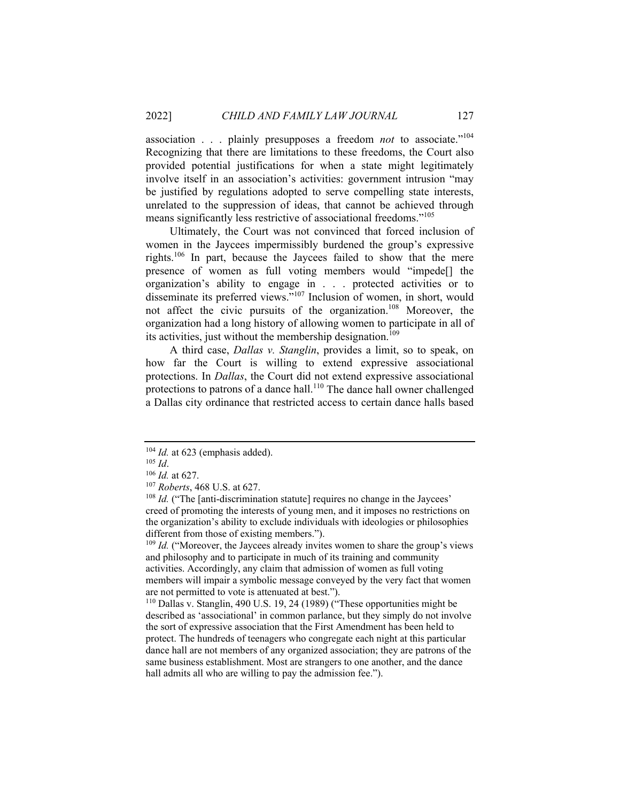association . . . plainly presupposes a freedom *not* to associate."104 Recognizing that there are limitations to these freedoms, the Court also provided potential justifications for when a state might legitimately involve itself in an association's activities: government intrusion "may be justified by regulations adopted to serve compelling state interests, unrelated to the suppression of ideas, that cannot be achieved through means significantly less restrictive of associational freedoms."<sup>105</sup>

Ultimately, the Court was not convinced that forced inclusion of women in the Jaycees impermissibly burdened the group's expressive rights.106 In part, because the Jaycees failed to show that the mere presence of women as full voting members would "impede[] the organization's ability to engage in . . . protected activities or to disseminate its preferred views."<sup>107</sup> Inclusion of women, in short, would not affect the civic pursuits of the organization.<sup>108</sup> Moreover, the organization had a long history of allowing women to participate in all of its activities, just without the membership designation.<sup>109</sup>

A third case, *Dallas v. Stanglin*, provides a limit, so to speak, on how far the Court is willing to extend expressive associational protections. In *Dallas*, the Court did not extend expressive associational protections to patrons of a dance hall.<sup>110</sup> The dance hall owner challenged a Dallas city ordinance that restricted access to certain dance halls based

<sup>109</sup> *Id.* ("Moreover, the Jaycees already invites women to share the group's views and philosophy and to participate in much of its training and community activities. Accordingly, any claim that admission of women as full voting members will impair a symbolic message conveyed by the very fact that women are not permitted to vote is attenuated at best.").

110 Dallas v. Stanglin, 490 U.S. 19, 24 (1989) ("These opportunities might be described as 'associational' in common parlance, but they simply do not involve the sort of expressive association that the First Amendment has been held to protect. The hundreds of teenagers who congregate each night at this particular dance hall are not members of any organized association; they are patrons of the same business establishment. Most are strangers to one another, and the dance hall admits all who are willing to pay the admission fee.").

<sup>&</sup>lt;sup>104</sup> *Id.* at 623 (emphasis added).<br><sup>105</sup> *Id.* 106 *Id.* at 627.<br><sup>107</sup> *Roberts*, 468 U.S. at 627.<br><sup>108</sup> *Id.* ("The [anti-discrimination statute] requires no change in the Jaycees' creed of promoting the interests of young men, and it imposes no restrictions on the organization's ability to exclude individuals with ideologies or philosophies different from those of existing members.").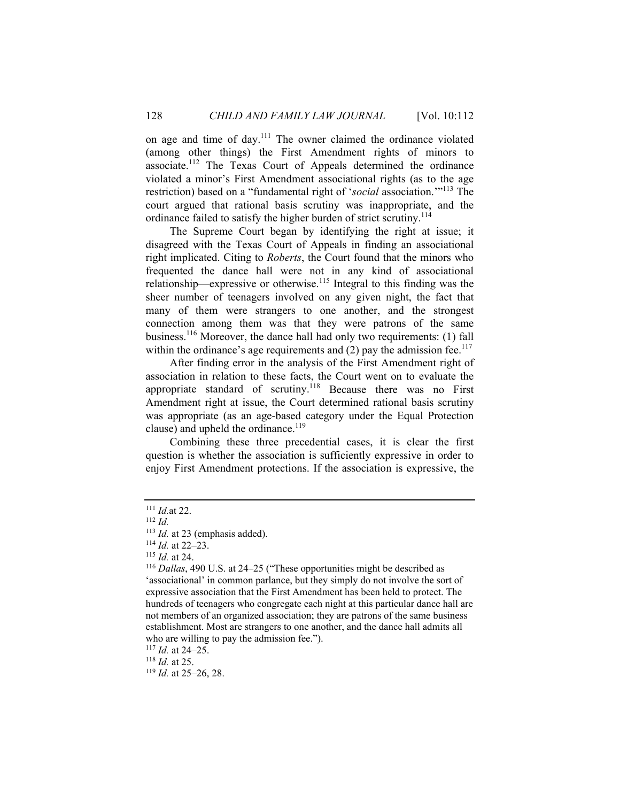on age and time of day.<sup>111</sup> The owner claimed the ordinance violated (among other things) the First Amendment rights of minors to associate.112 The Texas Court of Appeals determined the ordinance violated a minor's First Amendment associational rights (as to the age restriction) based on a "fundamental right of '*social* association.'"113 The court argued that rational basis scrutiny was inappropriate, and the ordinance failed to satisfy the higher burden of strict scrutiny.<sup>114</sup>

The Supreme Court began by identifying the right at issue; it disagreed with the Texas Court of Appeals in finding an associational right implicated. Citing to *Roberts*, the Court found that the minors who frequented the dance hall were not in any kind of associational relationship—expressive or otherwise.<sup>115</sup> Integral to this finding was the sheer number of teenagers involved on any given night, the fact that many of them were strangers to one another, and the strongest connection among them was that they were patrons of the same business.116 Moreover, the dance hall had only two requirements: (1) fall within the ordinance's age requirements and  $(2)$  pay the admission fee.<sup>117</sup>

After finding error in the analysis of the First Amendment right of association in relation to these facts, the Court went on to evaluate the appropriate standard of scrutiny.<sup>118</sup> Because there was no First Amendment right at issue, the Court determined rational basis scrutiny was appropriate (as an age-based category under the Equal Protection clause) and upheld the ordinance.<sup>119</sup>

Combining these three precedential cases, it is clear the first question is whether the association is sufficiently expressive in order to enjoy First Amendment protections. If the association is expressive, the

<sup>117</sup> *Id.* at 24–25. 118 *Id.* at 25. 119 *Id.* at 25–26, 28.

<sup>&</sup>lt;sup>111</sup> *Id.*at 22.<br><sup>112</sup> *Id.* at 23 (emphasis added).

<sup>&</sup>lt;sup>114</sup> *Id.* at 22–23.<br><sup>115</sup> *Id.* at 24.<br><sup>116</sup> *Dallas*, 490 U.S. at 24–25 ("These opportunities might be described as 'associational' in common parlance, but they simply do not involve the sort of expressive association that the First Amendment has been held to protect. The hundreds of teenagers who congregate each night at this particular dance hall are not members of an organized association; they are patrons of the same business establishment. Most are strangers to one another, and the dance hall admits all who are willing to pay the admission fee.").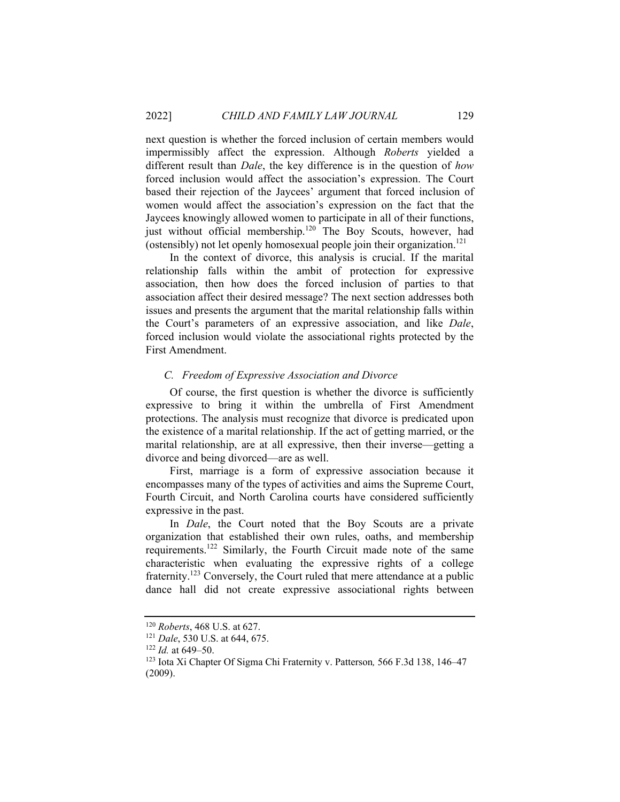next question is whether the forced inclusion of certain members would impermissibly affect the expression. Although *Roberts* yielded a different result than *Dale*, the key difference is in the question of *how* forced inclusion would affect the association's expression. The Court based their rejection of the Jaycees' argument that forced inclusion of women would affect the association's expression on the fact that the Jaycees knowingly allowed women to participate in all of their functions, just without official membership.<sup>120</sup> The Boy Scouts, however, had (ostensibly) not let openly homosexual people join their organization.<sup>121</sup>

In the context of divorce, this analysis is crucial. If the marital relationship falls within the ambit of protection for expressive association, then how does the forced inclusion of parties to that association affect their desired message? The next section addresses both issues and presents the argument that the marital relationship falls within the Court's parameters of an expressive association, and like *Dale*, forced inclusion would violate the associational rights protected by the First Amendment.

#### *C. Freedom of Expressive Association and Divorce*

Of course, the first question is whether the divorce is sufficiently expressive to bring it within the umbrella of First Amendment protections. The analysis must recognize that divorce is predicated upon the existence of a marital relationship. If the act of getting married, or the marital relationship, are at all expressive, then their inverse—getting a divorce and being divorced—are as well.

First, marriage is a form of expressive association because it encompasses many of the types of activities and aims the Supreme Court, Fourth Circuit, and North Carolina courts have considered sufficiently expressive in the past.

In *Dale*, the Court noted that the Boy Scouts are a private organization that established their own rules, oaths, and membership requirements.122 Similarly, the Fourth Circuit made note of the same characteristic when evaluating the expressive rights of a college fraternity.<sup>123</sup> Conversely, the Court ruled that mere attendance at a public dance hall did not create expressive associational rights between

<sup>120</sup> *Roberts*, 468 U.S. at 627. 121 *Dale*, 530 U.S. at 644, 675.

<sup>&</sup>lt;sup>122</sup> *Id.* at 649–50.<br><sup>123</sup> Iota Xi Chapter Of Sigma Chi Fraternity v. Patterson, 566 F.3d 138, 146–47 (2009).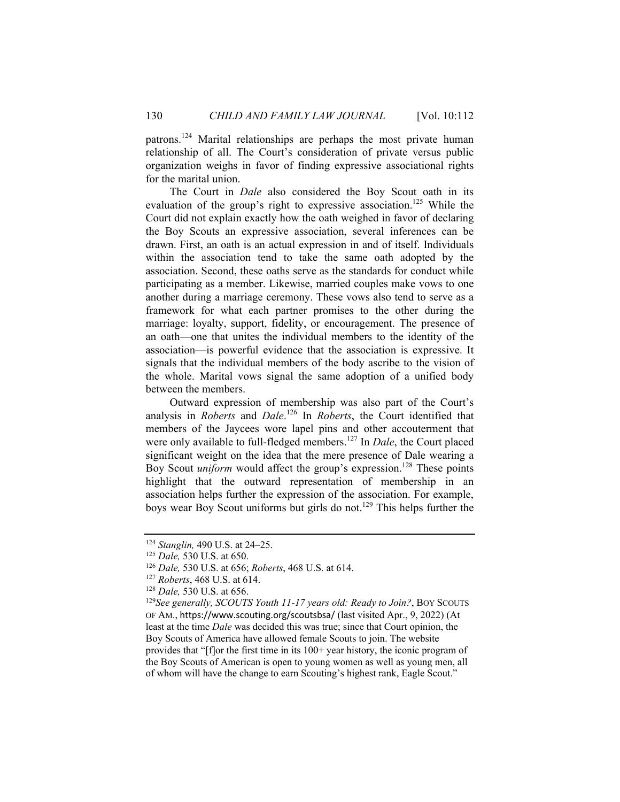patrons.124 Marital relationships are perhaps the most private human relationship of all. The Court's consideration of private versus public organization weighs in favor of finding expressive associational rights for the marital union.

The Court in *Dale* also considered the Boy Scout oath in its evaluation of the group's right to expressive association.<sup>125</sup> While the Court did not explain exactly how the oath weighed in favor of declaring the Boy Scouts an expressive association, several inferences can be drawn. First, an oath is an actual expression in and of itself. Individuals within the association tend to take the same oath adopted by the association. Second, these oaths serve as the standards for conduct while participating as a member. Likewise, married couples make vows to one another during a marriage ceremony. These vows also tend to serve as a framework for what each partner promises to the other during the marriage: loyalty, support, fidelity, or encouragement. The presence of an oath—one that unites the individual members to the identity of the association—is powerful evidence that the association is expressive. It signals that the individual members of the body ascribe to the vision of the whole. Marital vows signal the same adoption of a unified body between the members.

Outward expression of membership was also part of the Court's analysis in *Roberts* and *Dale*. 126 In *Roberts*, the Court identified that members of the Jaycees wore lapel pins and other accouterment that were only available to full-fledged members.<sup>127</sup> In *Dale*, the Court placed significant weight on the idea that the mere presence of Dale wearing a Boy Scout *uniform* would affect the group's expression.<sup>128</sup> These points highlight that the outward representation of membership in an association helps further the expression of the association. For example, boys wear Boy Scout uniforms but girls do not.<sup>129</sup> This helps further the

<sup>124</sup> *Stanglin,* 490 U.S. at 24–25. 125 *Dale,* 530 U.S. at 650.

<sup>&</sup>lt;sup>126</sup> Dale, 530 U.S. at 656; *Roberts*, 468 U.S. at 614.<br><sup>127</sup> *Roberts*, 468 U.S. at 614.<br><sup>128</sup> Dale, 530 U.S. at 656.<br><sup>129</sup> See generally, SCOUTS Youth 11-17 years old: Ready to Join?, BOY SCOUTS OF AM., https://www.scouting.org/scoutsbsa/ (last visited Apr., 9, 2022) (At least at the time *Dale* was decided this was true; since that Court opinion, the Boy Scouts of America have allowed female Scouts to join. The website provides that "[f]or the first time in its 100+ year history, the iconic program of the Boy Scouts of American is open to young women as well as young men, all of whom will have the change to earn Scouting's highest rank, Eagle Scout."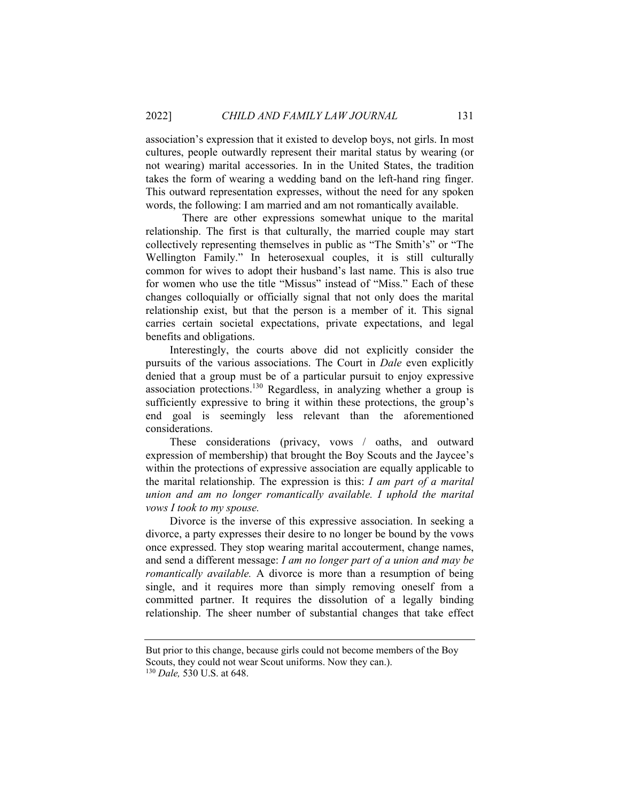association's expression that it existed to develop boys, not girls. In most cultures, people outwardly represent their marital status by wearing (or not wearing) marital accessories. In in the United States, the tradition takes the form of wearing a wedding band on the left-hand ring finger. This outward representation expresses, without the need for any spoken words, the following: I am married and am not romantically available.

 There are other expressions somewhat unique to the marital relationship. The first is that culturally, the married couple may start collectively representing themselves in public as "The Smith's" or "The Wellington Family." In heterosexual couples, it is still culturally common for wives to adopt their husband's last name. This is also true for women who use the title "Missus" instead of "Miss." Each of these changes colloquially or officially signal that not only does the marital relationship exist, but that the person is a member of it. This signal carries certain societal expectations, private expectations, and legal benefits and obligations.

Interestingly, the courts above did not explicitly consider the pursuits of the various associations. The Court in *Dale* even explicitly denied that a group must be of a particular pursuit to enjoy expressive association protections.130 Regardless, in analyzing whether a group is sufficiently expressive to bring it within these protections, the group's end goal is seemingly less relevant than the aforementioned considerations.

These considerations (privacy, vows / oaths, and outward expression of membership) that brought the Boy Scouts and the Jaycee's within the protections of expressive association are equally applicable to the marital relationship. The expression is this: *I am part of a marital union and am no longer romantically available. I uphold the marital vows I took to my spouse.*

Divorce is the inverse of this expressive association. In seeking a divorce, a party expresses their desire to no longer be bound by the vows once expressed. They stop wearing marital accouterment, change names, and send a different message: *I am no longer part of a union and may be romantically available.* A divorce is more than a resumption of being single, and it requires more than simply removing oneself from a committed partner. It requires the dissolution of a legally binding relationship. The sheer number of substantial changes that take effect

But prior to this change, because girls could not become members of the Boy Scouts, they could not wear Scout uniforms. Now they can.). 130 *Dale,* 530 U.S. at 648.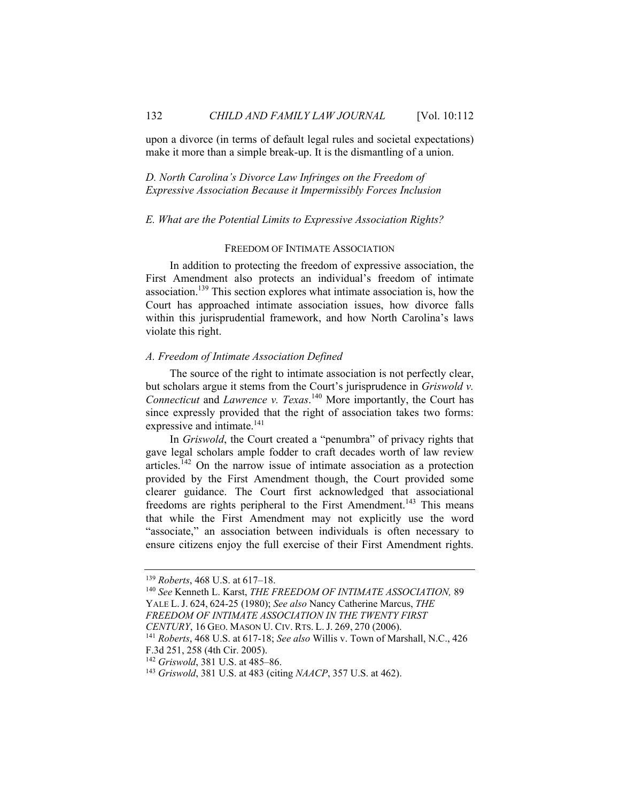upon a divorce (in terms of default legal rules and societal expectations) make it more than a simple break-up. It is the dismantling of a union.

*D. North Carolina's Divorce Law Infringes on the Freedom of Expressive Association Because it Impermissibly Forces Inclusion* 

#### *E. What are the Potential Limits to Expressive Association Rights?*

#### FREEDOM OF INTIMATE ASSOCIATION

In addition to protecting the freedom of expressive association, the First Amendment also protects an individual's freedom of intimate association.139 This section explores what intimate association is, how the Court has approached intimate association issues, how divorce falls within this jurisprudential framework, and how North Carolina's laws violate this right.

#### *A. Freedom of Intimate Association Defined*

The source of the right to intimate association is not perfectly clear, but scholars argue it stems from the Court's jurisprudence in *Griswold v. Connecticut* and *Lawrence v. Texas*. 140 More importantly, the Court has since expressly provided that the right of association takes two forms: expressive and intimate.<sup>141</sup>

In *Griswold*, the Court created a "penumbra" of privacy rights that gave legal scholars ample fodder to craft decades worth of law review articles.142 On the narrow issue of intimate association as a protection provided by the First Amendment though, the Court provided some clearer guidance. The Court first acknowledged that associational freedoms are rights peripheral to the First Amendment.<sup>143</sup> This means that while the First Amendment may not explicitly use the word "associate," an association between individuals is often necessary to ensure citizens enjoy the full exercise of their First Amendment rights.

*CENTURY*, 16 GEO. MASON U. CIV. RTS. L. J. 269, 270 (2006). 141 *Roberts*, 468 U.S. at 617-18; *See also* Willis v. Town of Marshall, N.C., 426

<sup>&</sup>lt;sup>139</sup> *Roberts*, 468 U.S. at 617–18.<br><sup>140</sup> *See* Kenneth L. Karst, *THE FREEDOM OF INTIMATE ASSOCIATION*, 89 YALE L. J. 624, 624-25 (1980); *See also* Nancy Catherine Marcus, *THE FREEDOM OF INTIMATE ASSOCIATION IN THE TWENTY FIRST* 

F.3d 251, 258 (4th Cir. 2005).

<sup>&</sup>lt;sup>142</sup> *Griswold*, 381 U.S. at 485–86.<br><sup>143</sup> *Griswold*, 381 U.S. at 483 (citing *NAACP*, 357 U.S. at 462).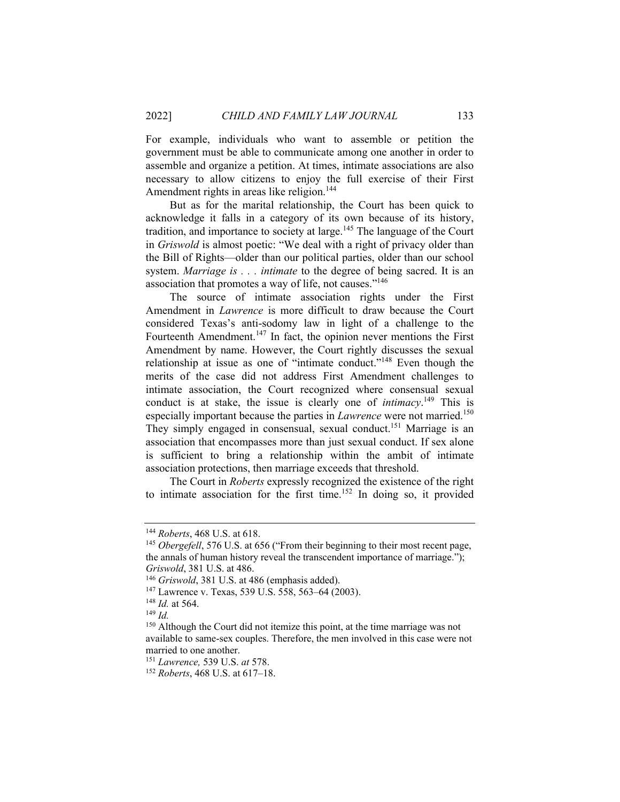For example, individuals who want to assemble or petition the government must be able to communicate among one another in order to assemble and organize a petition. At times, intimate associations are also necessary to allow citizens to enjoy the full exercise of their First Amendment rights in areas like religion.<sup>144</sup>

But as for the marital relationship, the Court has been quick to acknowledge it falls in a category of its own because of its history, tradition, and importance to society at large.<sup>145</sup> The language of the Court in *Griswold* is almost poetic: "We deal with a right of privacy older than the Bill of Rights—older than our political parties, older than our school system. *Marriage is . . . intimate* to the degree of being sacred. It is an association that promotes a way of life, not causes."<sup>146</sup>

The source of intimate association rights under the First Amendment in *Lawrence* is more difficult to draw because the Court considered Texas's anti-sodomy law in light of a challenge to the Fourteenth Amendment.<sup>147</sup> In fact, the opinion never mentions the First Amendment by name. However, the Court rightly discusses the sexual relationship at issue as one of "intimate conduct."148 Even though the merits of the case did not address First Amendment challenges to intimate association, the Court recognized where consensual sexual conduct is at stake, the issue is clearly one of *intimacy*.<sup>149</sup> This is especially important because the parties in *Lawrence* were not married.<sup>150</sup> They simply engaged in consensual, sexual conduct.<sup>151</sup> Marriage is an association that encompasses more than just sexual conduct. If sex alone is sufficient to bring a relationship within the ambit of intimate association protections, then marriage exceeds that threshold.

The Court in *Roberts* expressly recognized the existence of the right to intimate association for the first time.<sup>152</sup> In doing so, it provided

<sup>&</sup>lt;sup>144</sup> *Roberts*, 468 U.S. at 618.<br><sup>145</sup> *Obergefell*, 576 U.S. at 656 ("From their beginning to their most recent page, the annals of human history reveal the transcendent importance of marriage."); *Griswold*, 381 U.S. at 486.

<sup>&</sup>lt;sup>146</sup> *Griswold*, 381 U.S. at 486 (emphasis added).<br><sup>147</sup> Lawrence v. Texas, 539 U.S. 558, 563–64 (2003).<br><sup>148</sup> *Id.* at 564.<br><sup>149</sup> *Id.* 

<sup>&</sup>lt;sup>150</sup> Although the Court did not itemize this point, at the time marriage was not available to same-sex couples. Therefore, the men involved in this case were not married to one another.

<sup>151</sup> *Lawrence,* <sup>539</sup> U.S. *at* 578. 152 *Roberts*, 468 U.S. at 617–18.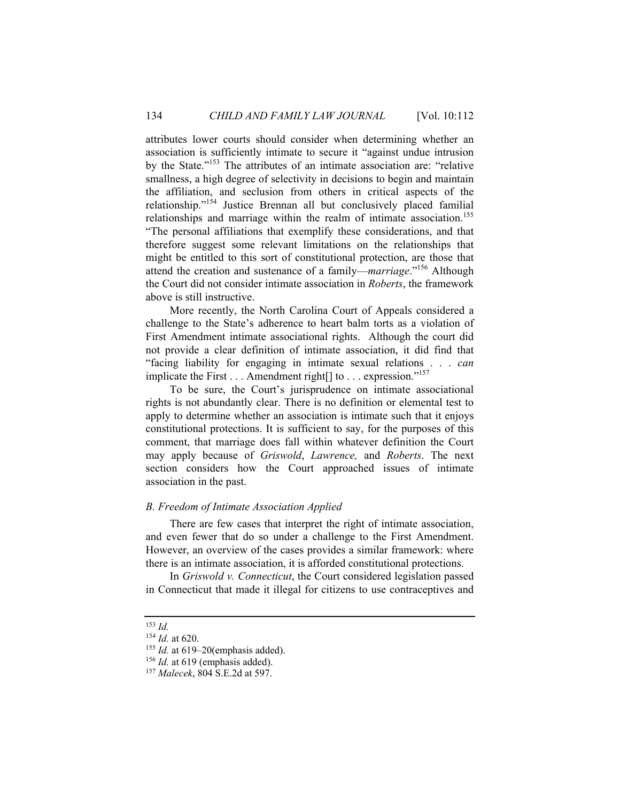attributes lower courts should consider when determining whether an association is sufficiently intimate to secure it "against undue intrusion by the State."153 The attributes of an intimate association are: "relative smallness, a high degree of selectivity in decisions to begin and maintain the affiliation, and seclusion from others in critical aspects of the relationship."154 Justice Brennan all but conclusively placed familial relationships and marriage within the realm of intimate association.<sup>155</sup> "The personal affiliations that exemplify these considerations, and that therefore suggest some relevant limitations on the relationships that might be entitled to this sort of constitutional protection, are those that attend the creation and sustenance of a family—*marriage*."156 Although the Court did not consider intimate association in *Roberts*, the framework above is still instructive.

More recently, the North Carolina Court of Appeals considered a challenge to the State's adherence to heart balm torts as a violation of First Amendment intimate associational rights. Although the court did not provide a clear definition of intimate association, it did find that "facing liability for engaging in intimate sexual relations . . . *can* implicate the First  $\dots$  Amendment right  $\lceil \cdot \rceil$  to  $\dots$  expression."<sup>157</sup>

To be sure, the Court's jurisprudence on intimate associational rights is not abundantly clear. There is no definition or elemental test to apply to determine whether an association is intimate such that it enjoys constitutional protections. It is sufficient to say, for the purposes of this comment, that marriage does fall within whatever definition the Court may apply because of *Griswold*, *Lawrence,* and *Roberts*. The next section considers how the Court approached issues of intimate association in the past.

#### *B. Freedom of Intimate Association Applied*

There are few cases that interpret the right of intimate association, and even fewer that do so under a challenge to the First Amendment. However, an overview of the cases provides a similar framework: where there is an intimate association, it is afforded constitutional protections.

In *Griswold v. Connecticut*, the Court considered legislation passed in Connecticut that made it illegal for citizens to use contraceptives and

<sup>153</sup> *Id.*

<sup>154</sup> *Id.* at 620. 155 *Id.* at 619–20(emphasis added). 156 *Id.* at 619 (emphasis added). 157 *Malecek*, 804 S.E.2d at 597.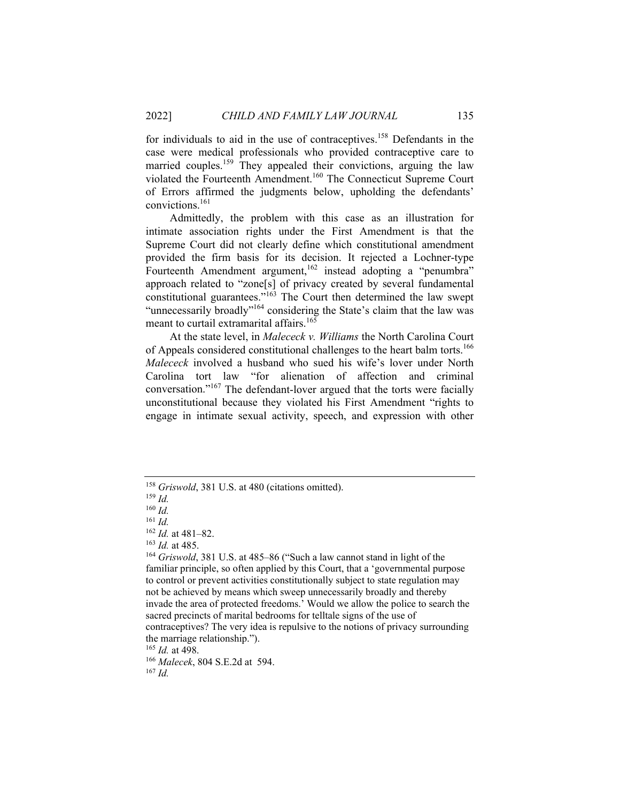for individuals to aid in the use of contraceptives.158 Defendants in the case were medical professionals who provided contraceptive care to married couples.<sup>159</sup> They appealed their convictions, arguing the law violated the Fourteenth Amendment.160 The Connecticut Supreme Court of Errors affirmed the judgments below, upholding the defendants' convictions.161

Admittedly, the problem with this case as an illustration for intimate association rights under the First Amendment is that the Supreme Court did not clearly define which constitutional amendment provided the firm basis for its decision. It rejected a Lochner-type Fourteenth Amendment argument,<sup>162</sup> instead adopting a "penumbra" approach related to "zone[s] of privacy created by several fundamental constitutional guarantees."<sup>163</sup> The Court then determined the law swept "unnecessarily broadly"<sup>164</sup> considering the State's claim that the law was meant to curtail extramarital affairs.<sup>165</sup>

At the state level, in *Malececk v. Williams* the North Carolina Court of Appeals considered constitutional challenges to the heart balm torts.<sup>166</sup> *Malececk* involved a husband who sued his wife's lover under North Carolina tort law "for alienation of affection and criminal conversation."167 The defendant-lover argued that the torts were facially unconstitutional because they violated his First Amendment "rights to engage in intimate sexual activity, speech, and expression with other

<sup>165</sup> *Id.* at 498. 166 *Malecek*, 804 S.E.2d at 594. 167 *Id.*

<sup>&</sup>lt;sup>158</sup> *Griswold*, 381 U.S. at 480 (citations omitted). <sup>159</sup> *Id* 

 $^{160}$  *Id.*<br> $^{161}$  *Id.* 

<sup>161</sup> *Id.*<sup>162</sup> *Id.* at 481–82. 163 *Id.* at 485. 164 *Griswold*, 381 U.S. at 485–86 ("Such a law cannot stand in light of the familiar principle, so often applied by this Court, that a 'governmental purpose to control or prevent activities constitutionally subject to state regulation may not be achieved by means which sweep unnecessarily broadly and thereby invade the area of protected freedoms.' Would we allow the police to search the sacred precincts of marital bedrooms for telltale signs of the use of contraceptives? The very idea is repulsive to the notions of privacy surrounding

the marriage relationship.").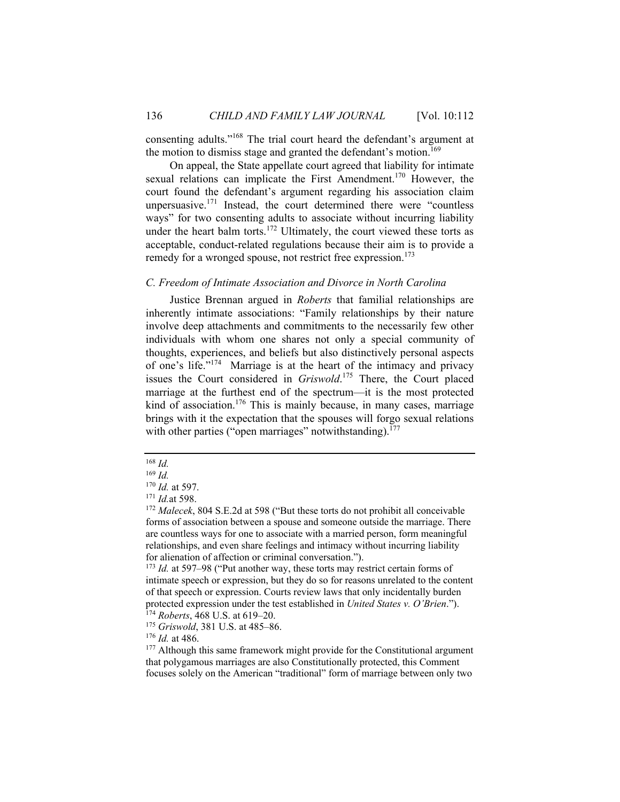consenting adults."168 The trial court heard the defendant's argument at the motion to dismiss stage and granted the defendant's motion.<sup>169</sup>

On appeal, the State appellate court agreed that liability for intimate sexual relations can implicate the First Amendment.<sup>170</sup> However, the court found the defendant's argument regarding his association claim unpersuasive. $171$  Instead, the court determined there were "countless ways" for two consenting adults to associate without incurring liability under the heart balm torts.<sup>172</sup> Ultimately, the court viewed these torts as acceptable, conduct-related regulations because their aim is to provide a remedy for a wronged spouse, not restrict free expression.<sup>173</sup>

#### *C. Freedom of Intimate Association and Divorce in North Carolina*

Justice Brennan argued in *Roberts* that familial relationships are inherently intimate associations: "Family relationships by their nature involve deep attachments and commitments to the necessarily few other individuals with whom one shares not only a special community of thoughts, experiences, and beliefs but also distinctively personal aspects of one's life."174 Marriage is at the heart of the intimacy and privacy issues the Court considered in *Griswold*. 175 There, the Court placed marriage at the furthest end of the spectrum—it is the most protected kind of association.<sup>176</sup> This is mainly because, in many cases, marriage brings with it the expectation that the spouses will forgo sexual relations with other parties ("open marriages" notwithstanding). $177$ 

intimate speech or expression, but they do so for reasons unrelated to the content of that speech or expression. Courts review laws that only incidentally burden protected expression under the test established in *United States v. O'Brien.*"). <sup>174</sup> *Roberts*, 468 U.S. at 619–20.<br><sup>175</sup> *Griswold*, 381 U.S. at 485–86.<br><sup>176</sup> *Id.* at 486.

<sup>177</sup> Although this same framework might provide for the Constitutional argument that polygamous marriages are also Constitutionally protected, this Comment focuses solely on the American "traditional" form of marriage between only two

<sup>168</sup> *Id.* 

<sup>&</sup>lt;sup>169</sup> *Id.* **170** *Id.* **at 597.** 

<sup>&</sup>lt;sup>171</sup> *Id.* at 598.<br><sup>172</sup> *Malecek*, 804 S.E.2d at 598 ("But these torts do not prohibit all conceivable forms of association between a spouse and someone outside the marriage. There are countless ways for one to associate with a married person, form meaningful relationships, and even share feelings and intimacy without incurring liability for alienation of affection or criminal conversation."). 173 *Id.* at 597–98 ("Put another way, these torts may restrict certain forms of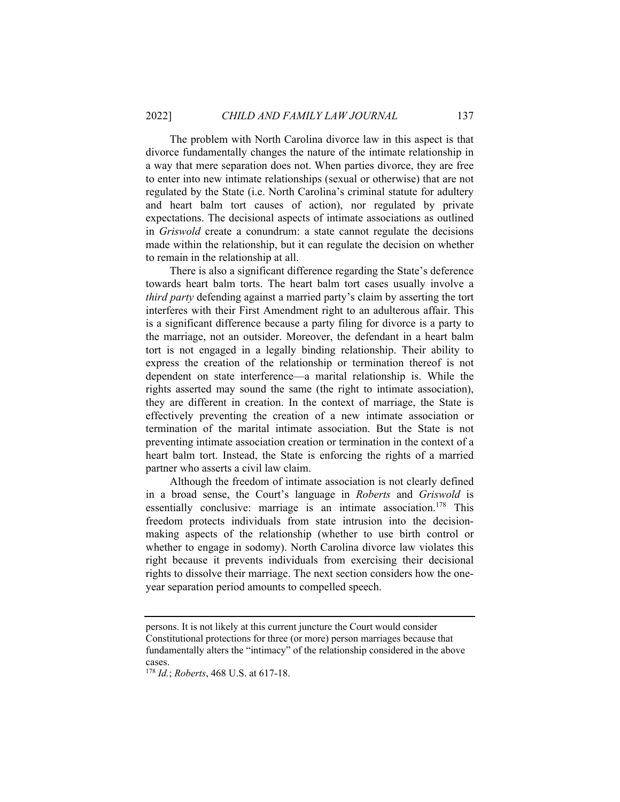The problem with North Carolina divorce law in this aspect is that divorce fundamentally changes the nature of the intimate relationship in a way that mere separation does not. When parties divorce, they are free to enter into new intimate relationships (sexual or otherwise) that are not regulated by the State (i.e. North Carolina's criminal statute for adultery and heart balm tort causes of action), nor regulated by private expectations. The decisional aspects of intimate associations as outlined in *Griswold* create a conundrum: a state cannot regulate the decisions made within the relationship, but it can regulate the decision on whether to remain in the relationship at all.

There is also a significant difference regarding the State's deference towards heart balm torts. The heart balm tort cases usually involve a *third party* defending against a married party's claim by asserting the tort interferes with their First Amendment right to an adulterous affair. This is a significant difference because a party filing for divorce is a party to the marriage, not an outsider. Moreover, the defendant in a heart balm tort is not engaged in a legally binding relationship. Their ability to express the creation of the relationship or termination thereof is not dependent on state interference—a marital relationship is. While the rights asserted may sound the same (the right to intimate association), they are different in creation. In the context of marriage, the State is effectively preventing the creation of a new intimate association or termination of the marital intimate association. But the State is not preventing intimate association creation or termination in the context of a heart balm tort. Instead, the State is enforcing the rights of a married partner who asserts a civil law claim.

Although the freedom of intimate association is not clearly defined in a broad sense, the Court's language in *Roberts* and *Griswold* is essentially conclusive: marriage is an intimate association.<sup>178</sup> This freedom protects individuals from state intrusion into the decisionmaking aspects of the relationship (whether to use birth control or whether to engage in sodomy). North Carolina divorce law violates this right because it prevents individuals from exercising their decisional rights to dissolve their marriage. The next section considers how the oneyear separation period amounts to compelled speech.

persons. It is not likely at this current juncture the Court would consider Constitutional protections for three (or more) person marriages because that fundamentally alters the "intimacy" of the relationship considered in the above cases.

<sup>178</sup> *Id.*; *Roberts*, 468 U.S. at 617-18.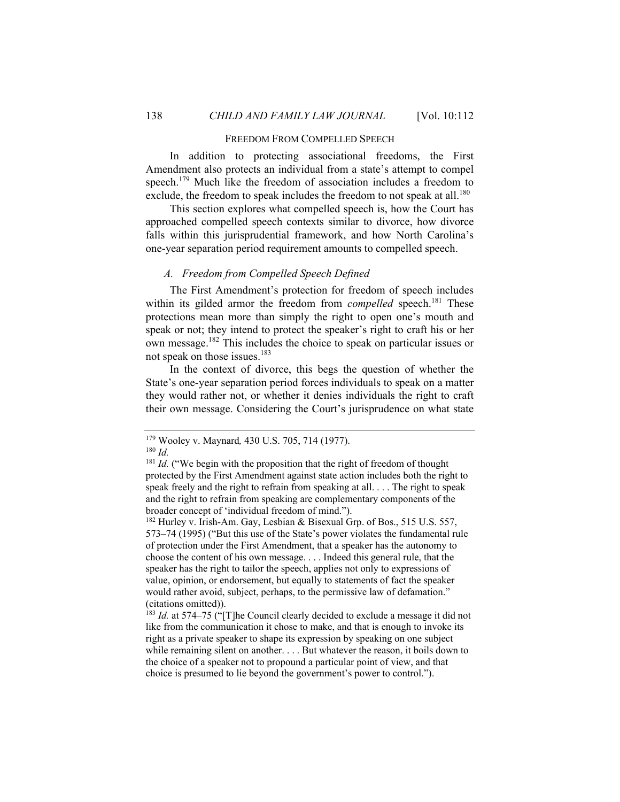#### FREEDOM FROM COMPELLED SPEECH

In addition to protecting associational freedoms, the First Amendment also protects an individual from a state's attempt to compel speech.<sup>179</sup> Much like the freedom of association includes a freedom to exclude, the freedom to speak includes the freedom to not speak at all.<sup>180</sup>

This section explores what compelled speech is, how the Court has approached compelled speech contexts similar to divorce, how divorce falls within this jurisprudential framework, and how North Carolina's one-year separation period requirement amounts to compelled speech.

#### *A. Freedom from Compelled Speech Defined*

The First Amendment's protection for freedom of speech includes within its gilded armor the freedom from *compelled* speech.<sup>181</sup> These protections mean more than simply the right to open one's mouth and speak or not; they intend to protect the speaker's right to craft his or her own message.182 This includes the choice to speak on particular issues or not speak on those issues.<sup>183</sup>

In the context of divorce, this begs the question of whether the State's one-year separation period forces individuals to speak on a matter they would rather not, or whether it denies individuals the right to craft their own message. Considering the Court's jurisprudence on what state

<sup>182</sup> Hurley v. Irish-Am. Gay, Lesbian & Bisexual Grp. of Bos., 515 U.S. 557, 573–74 (1995) ("But this use of the State's power violates the fundamental rule of protection under the First Amendment, that a speaker has the autonomy to choose the content of his own message. . . . Indeed this general rule, that the speaker has the right to tailor the speech, applies not only to expressions of value, opinion, or endorsement, but equally to statements of fact the speaker would rather avoid, subject, perhaps, to the permissive law of defamation." (citations omitted)).

<sup>183</sup> *Id.* at 574–75 ("[T]he Council clearly decided to exclude a message it did not like from the communication it chose to make, and that is enough to invoke its right as a private speaker to shape its expression by speaking on one subject while remaining silent on another. . . . But whatever the reason, it boils down to the choice of a speaker not to propound a particular point of view, and that choice is presumed to lie beyond the government's power to control.").

<sup>179</sup> Wooley v. Maynard*,* 430 U.S. 705, 714 (1977). 180 *Id.*

<sup>&</sup>lt;sup>181</sup> *Id.* ("We begin with the proposition that the right of freedom of thought protected by the First Amendment against state action includes both the right to speak freely and the right to refrain from speaking at all. . . . The right to speak and the right to refrain from speaking are complementary components of the broader concept of 'individual freedom of mind.").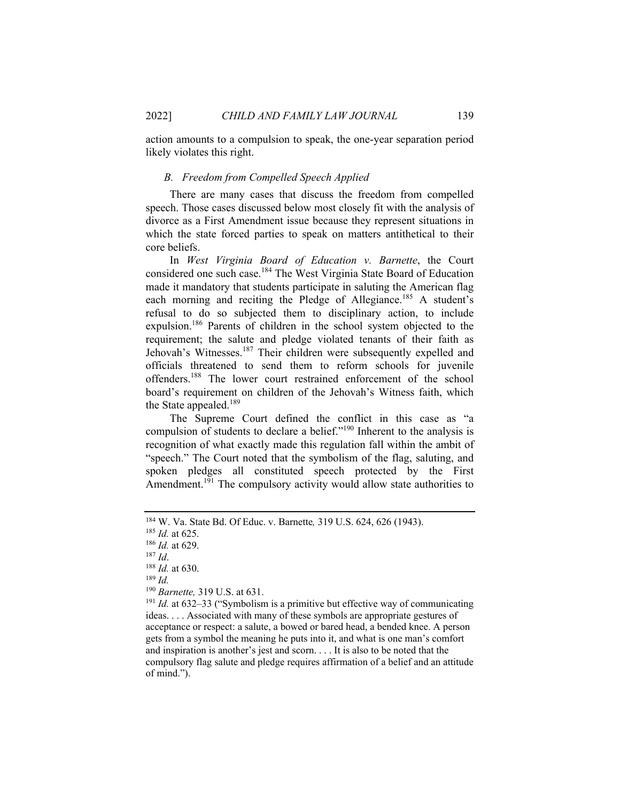action amounts to a compulsion to speak, the one-year separation period likely violates this right.

#### *B. Freedom from Compelled Speech Applied*

There are many cases that discuss the freedom from compelled speech. Those cases discussed below most closely fit with the analysis of divorce as a First Amendment issue because they represent situations in which the state forced parties to speak on matters antithetical to their core beliefs.

In *West Virginia Board of Education v. Barnette*, the Court considered one such case.184 The West Virginia State Board of Education made it mandatory that students participate in saluting the American flag each morning and reciting the Pledge of Allegiance.<sup>185</sup> A student's refusal to do so subjected them to disciplinary action, to include expulsion.<sup>186</sup> Parents of children in the school system objected to the requirement; the salute and pledge violated tenants of their faith as Jehovah's Witnesses.<sup>187</sup> Their children were subsequently expelled and officials threatened to send them to reform schools for juvenile offenders.188 The lower court restrained enforcement of the school board's requirement on children of the Jehovah's Witness faith, which the State appealed.<sup>189</sup>

The Supreme Court defined the conflict in this case as "a compulsion of students to declare a belief."190 Inherent to the analysis is recognition of what exactly made this regulation fall within the ambit of "speech." The Court noted that the symbolism of the flag, saluting, and spoken pledges all constituted speech protected by the First Amendment.<sup>191</sup> The compulsory activity would allow state authorities to

<sup>&</sup>lt;sup>184</sup> W. Va. State Bd. Of Educ. v. Barnette, 319 U.S. 624, 626 (1943).<br><sup>185</sup> *Id.* at 625.<br><sup>186</sup> *Id.* at 629.<br><sup>187</sup> *Id.*<br><sup>187</sup> *Id.* at 630.<br><sup>189</sup> *Id.* at 632–33 ("Symbolism is a primitive but effective way of communic ideas. . . . Associated with many of these symbols are appropriate gestures of acceptance or respect: a salute, a bowed or bared head, a bended knee. A person gets from a symbol the meaning he puts into it, and what is one man's comfort and inspiration is another's jest and scorn. . . . It is also to be noted that the compulsory flag salute and pledge requires affirmation of a belief and an attitude of mind.").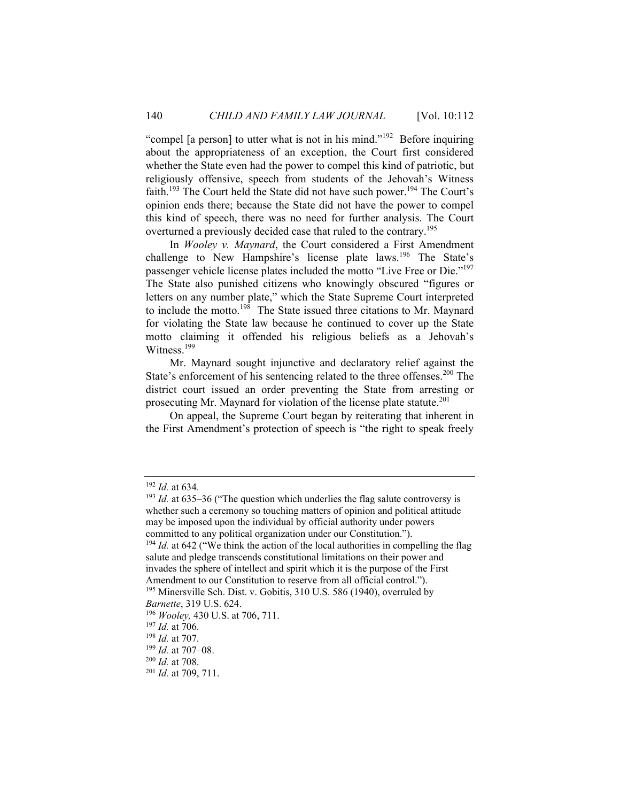"compel [a person] to utter what is not in his mind."192 Before inquiring about the appropriateness of an exception, the Court first considered whether the State even had the power to compel this kind of patriotic, but religiously offensive, speech from students of the Jehovah's Witness faith.<sup>193</sup> The Court held the State did not have such power.<sup>194</sup> The Court's opinion ends there; because the State did not have the power to compel this kind of speech, there was no need for further analysis. The Court overturned a previously decided case that ruled to the contrary.<sup>195</sup>

In *Wooley v. Maynard*, the Court considered a First Amendment challenge to New Hampshire's license plate laws.<sup>196</sup> The State's passenger vehicle license plates included the motto "Live Free or Die."<sup>197</sup> The State also punished citizens who knowingly obscured "figures or letters on any number plate," which the State Supreme Court interpreted to include the motto.<sup>198</sup> The State issued three citations to Mr. Maynard for violating the State law because he continued to cover up the State motto claiming it offended his religious beliefs as a Jehovah's Witness.<sup>199</sup>

Mr. Maynard sought injunctive and declaratory relief against the State's enforcement of his sentencing related to the three offenses.<sup>200</sup> The district court issued an order preventing the State from arresting or prosecuting Mr. Maynard for violation of the license plate statute.<sup>201</sup>

On appeal, the Supreme Court began by reiterating that inherent in the First Amendment's protection of speech is "the right to speak freely

<sup>&</sup>lt;sup>192</sup> *Id.* at 634.<br><sup>193</sup> *Id.* at 635–36 ("The question which underlies the flag salute controversy is whether such a ceremony so touching matters of opinion and political attitude may be imposed upon the individual by official authority under powers committed to any political organization under our Constitution."). <sup>194</sup> *Id.* at 642 ("We think the action of the local authorities in compelling the flag salute and pledge transcends constitutional limitations on their power and invades the sphere of intellect and spirit which it is the purpose of the First Amendment to our Constitution to reserve from all official control."). <sup>195</sup> Minersville Sch. Dist. v. Gobitis, 310 U.S. 586 (1940), overruled by

*Barnette*, 319 U.S. 624.<br><sup>196</sup> *Wooley*, 430 U.S. at 706, 711.<br><sup>197</sup> *Id.* at 706.<br><sup>198</sup> *Id.* at 707.<br><sup>200</sup> *Id.* at 708.<br><sup>201</sup> *Id.* at 709, 711.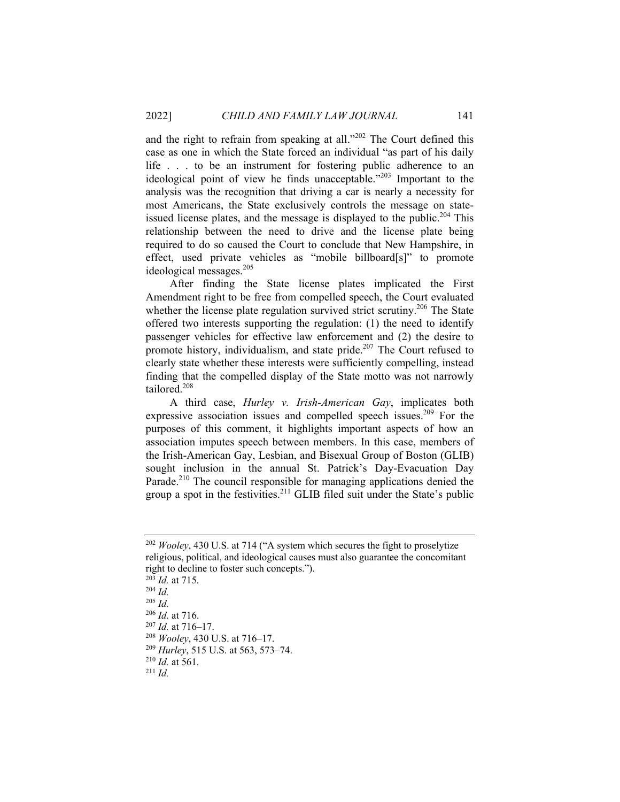and the right to refrain from speaking at all."<sup>202</sup> The Court defined this case as one in which the State forced an individual "as part of his daily life . . . to be an instrument for fostering public adherence to an ideological point of view he finds unacceptable."203 Important to the analysis was the recognition that driving a car is nearly a necessity for most Americans, the State exclusively controls the message on stateissued license plates, and the message is displayed to the public.<sup>204</sup> This relationship between the need to drive and the license plate being required to do so caused the Court to conclude that New Hampshire, in effect, used private vehicles as "mobile billboard[s]" to promote ideological messages.<sup>205</sup>

After finding the State license plates implicated the First Amendment right to be free from compelled speech, the Court evaluated whether the license plate regulation survived strict scrutiny.<sup>206</sup> The State offered two interests supporting the regulation: (1) the need to identify passenger vehicles for effective law enforcement and (2) the desire to promote history, individualism, and state pride.<sup>207</sup> The Court refused to clearly state whether these interests were sufficiently compelling, instead finding that the compelled display of the State motto was not narrowly tailored.208

A third case, *Hurley v. Irish-American Gay*, implicates both expressive association issues and compelled speech issues.<sup>209</sup> For the purposes of this comment, it highlights important aspects of how an association imputes speech between members. In this case, members of the Irish-American Gay, Lesbian, and Bisexual Group of Boston (GLIB) sought inclusion in the annual St. Patrick's Day-Evacuation Day Parade.<sup>210</sup> The council responsible for managing applications denied the group a spot in the festivities. $^{211}$  GLIB filed suit under the State's public

<sup>203</sup> *Id.* at 715. 204 *Id.* <sup>205</sup> *Id.* <sup>206</sup> *Id.* at 716. 207 *Id.* at 716–17. 208 *Wooley*, 430 U.S. at 716–17. 209 *Hurley*, 515 U.S. at 563, 573–74. 210 *Id.* at 561. 211 *Id.* 

<sup>202</sup> *Wooley*, 430 U.S. at 714 ("A system which secures the fight to proselytize religious, political, and ideological causes must also guarantee the concomitant right to decline to foster such concepts.").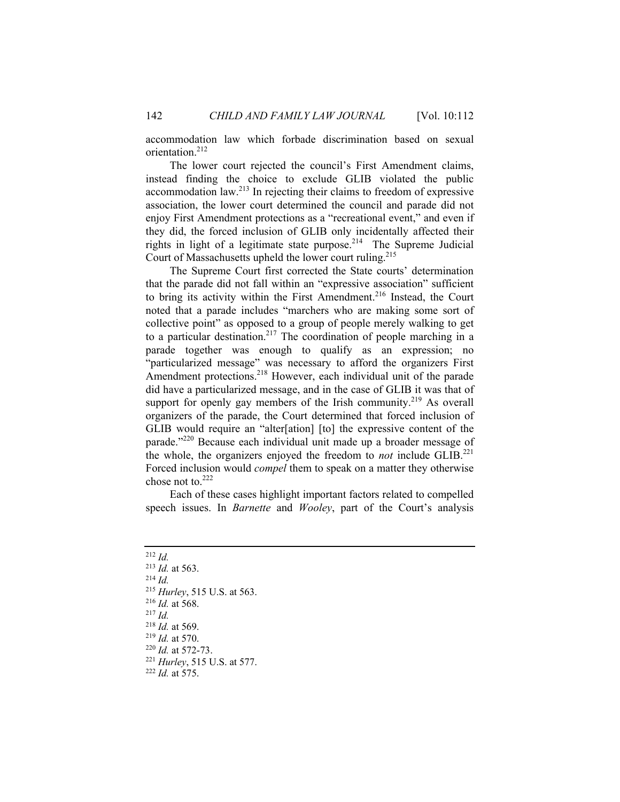accommodation law which forbade discrimination based on sexual orientation.212

The lower court rejected the council's First Amendment claims, instead finding the choice to exclude GLIB violated the public accommodation law.213 In rejecting their claims to freedom of expressive association, the lower court determined the council and parade did not enjoy First Amendment protections as a "recreational event," and even if they did, the forced inclusion of GLIB only incidentally affected their rights in light of a legitimate state purpose.<sup>214</sup> The Supreme Judicial Court of Massachusetts upheld the lower court ruling.215

The Supreme Court first corrected the State courts' determination that the parade did not fall within an "expressive association" sufficient to bring its activity within the First Amendment.<sup>216</sup> Instead, the Court noted that a parade includes "marchers who are making some sort of collective point" as opposed to a group of people merely walking to get to a particular destination.<sup>217</sup> The coordination of people marching in a parade together was enough to qualify as an expression; no "particularized message" was necessary to afford the organizers First Amendment protections.<sup>218</sup> However, each individual unit of the parade did have a particularized message, and in the case of GLIB it was that of support for openly gay members of the Irish community.<sup>219</sup> As overall organizers of the parade, the Court determined that forced inclusion of GLIB would require an "alter[ation] [to] the expressive content of the parade."220 Because each individual unit made up a broader message of the whole, the organizers enjoyed the freedom to *not* include GLIB.221 Forced inclusion would *compel* them to speak on a matter they otherwise chose not to. $222$ 

Each of these cases highlight important factors related to compelled speech issues. In *Barnette* and *Wooley*, part of the Court's analysis

<sup>212</sup> *Id.* <sup>213</sup> *Id.* at 563. <sup>214</sup> *Id.*<br>
<sup>215</sup> *Hurley*, 515 U.S. at 563.<br>
<sup>216</sup> *Id.* at 568.<br>
<sup>217</sup> *Id.*<br>
<sup>218</sup> *Id.* at 569.<br>
<sup>219</sup> *Id.* at 570.<br>
<sup>220</sup> *Id.* at 572-73.<br>
<sup>221</sup> *Hurley*, 515 U.S. at 577.<br>
<sup>222</sup> *Id.* at 575.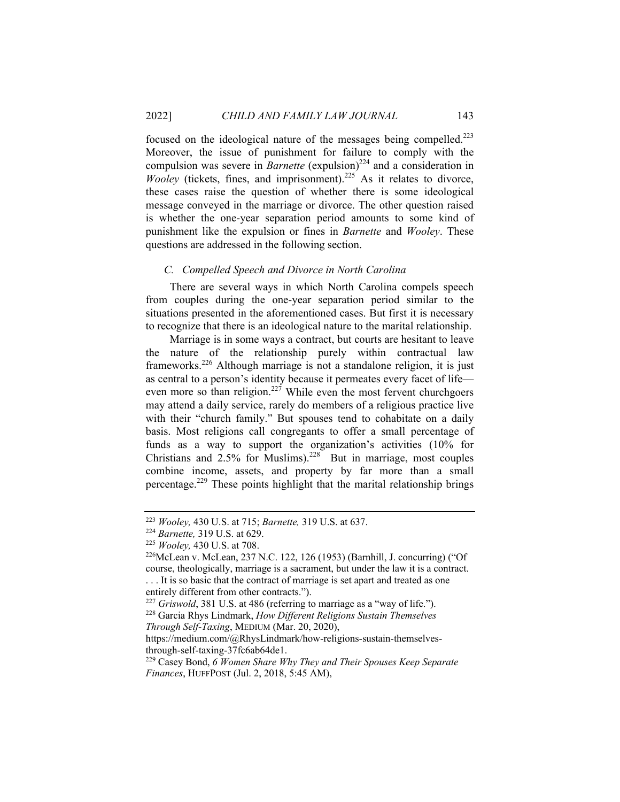focused on the ideological nature of the messages being compelled.223 Moreover, the issue of punishment for failure to comply with the compulsion was severe in *Barnette* (expulsion)<sup>224</sup> and a consideration in *Wooley* (tickets, fines, and imprisonment).<sup>225</sup> As it relates to divorce, these cases raise the question of whether there is some ideological message conveyed in the marriage or divorce. The other question raised is whether the one-year separation period amounts to some kind of punishment like the expulsion or fines in *Barnette* and *Wooley*. These questions are addressed in the following section.

#### *C. Compelled Speech and Divorce in North Carolina*

There are several ways in which North Carolina compels speech from couples during the one-year separation period similar to the situations presented in the aforementioned cases. But first it is necessary to recognize that there is an ideological nature to the marital relationship.

Marriage is in some ways a contract, but courts are hesitant to leave the nature of the relationship purely within contractual law frameworks.226 Although marriage is not a standalone religion, it is just as central to a person's identity because it permeates every facet of life even more so than religion.<sup>227</sup> While even the most fervent churchgoers may attend a daily service, rarely do members of a religious practice live with their "church family." But spouses tend to cohabitate on a daily basis. Most religions call congregants to offer a small percentage of funds as a way to support the organization's activities (10% for Christians and  $2.5\%$  for Muslims).<sup>228</sup> But in marriage, most couples combine income, assets, and property by far more than a small percentage.<sup>229</sup> These points highlight that the marital relationship brings

<sup>&</sup>lt;sup>223</sup> *Wooley,* 430 U.S. at 715; *Barnette,* 319 U.S. at 637.<br><sup>224</sup> *Barnette,* 319 U.S. at 629.<br><sup>225</sup> *Wooley,* 430 U.S. at 708.<br><sup>226</sup> McLean v. McLean, 237 N.C. 122, 126 (1953) (Barnhill, J. concurring) ("Of course, theologically, marriage is a sacrament, but under the law it is a contract. . . . It is so basic that the contract of marriage is set apart and treated as one entirely different from other contracts.").

<sup>227</sup> *Griswold*, 381 U.S. at 486 (referring to marriage as a "way of life."). 228 Garcia Rhys Lindmark, *How Different Religions Sustain Themselves Through Self-Taxing*, MEDIUM (Mar. 20, 2020),

https://medium.com/@RhysLindmark/how-religions-sustain-themselvesthrough-self-taxing-37fc6ab64de1.

<sup>229</sup> Casey Bond, *6 Women Share Why They and Their Spouses Keep Separate Finances*, HUFFPOST (Jul. 2, 2018, 5:45 AM),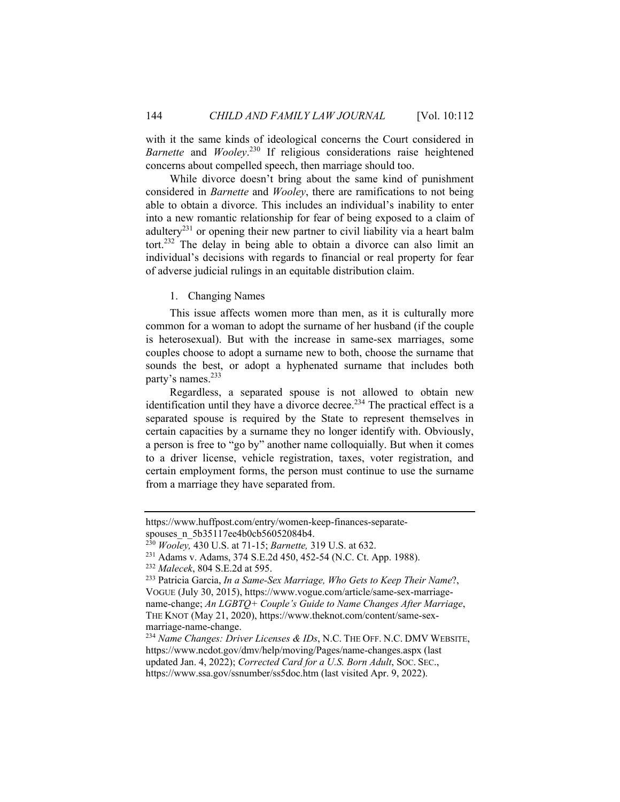with it the same kinds of ideological concerns the Court considered in *Barnette* and *Wooley*. 230 If religious considerations raise heightened concerns about compelled speech, then marriage should too.

While divorce doesn't bring about the same kind of punishment considered in *Barnette* and *Wooley*, there are ramifications to not being able to obtain a divorce. This includes an individual's inability to enter into a new romantic relationship for fear of being exposed to a claim of adultery<sup>231</sup> or opening their new partner to civil liability via a heart balm tort.232 The delay in being able to obtain a divorce can also limit an individual's decisions with regards to financial or real property for fear of adverse judicial rulings in an equitable distribution claim.

1. Changing Names

This issue affects women more than men, as it is culturally more common for a woman to adopt the surname of her husband (if the couple is heterosexual). But with the increase in same-sex marriages, some couples choose to adopt a surname new to both, choose the surname that sounds the best, or adopt a hyphenated surname that includes both party's names.<sup>233</sup>

Regardless, a separated spouse is not allowed to obtain new identification until they have a divorce decree.<sup>234</sup> The practical effect is a separated spouse is required by the State to represent themselves in certain capacities by a surname they no longer identify with. Obviously, a person is free to "go by" another name colloquially. But when it comes to a driver license, vehicle registration, taxes, voter registration, and certain employment forms, the person must continue to use the surname from a marriage they have separated from.

https://www.huffpost.com/entry/women-keep-finances-separatespouses\_n\_5b35117ee4b0cb56052084b4.

<sup>&</sup>lt;sup>230</sup> Wooley, 430 U.S. at 71-15; *Barnette*, 319 U.S. at 632.<br><sup>231</sup> Adams v. Adams, 374 S.E.2d 450, 452-54 (N.C. Ct. App. 1988).<br><sup>232</sup> Malecek, 804 S.E.2d at 595.<br><sup>233</sup> Patricia Garcia, *In a Same-Sex Marriage, Who Gets to* 

VOGUE (July 30, 2015), https://www.vogue.com/article/same-sex-marriagename-change; *An LGBTQ+ Couple's Guide to Name Changes After Marriage*, THE KNOT (May 21, 2020), https://www.theknot.com/content/same-sexmarriage-name-change.

<sup>234</sup> *Name Changes: Driver Licenses & IDs*, N.C. THE OFF. N.C. DMV WEBSITE, https://www.ncdot.gov/dmv/help/moving/Pages/name-changes.aspx (last updated Jan. 4, 2022); *Corrected Card for a U.S. Born Adult*, SOC. SEC., https://www.ssa.gov/ssnumber/ss5doc.htm (last visited Apr. 9, 2022).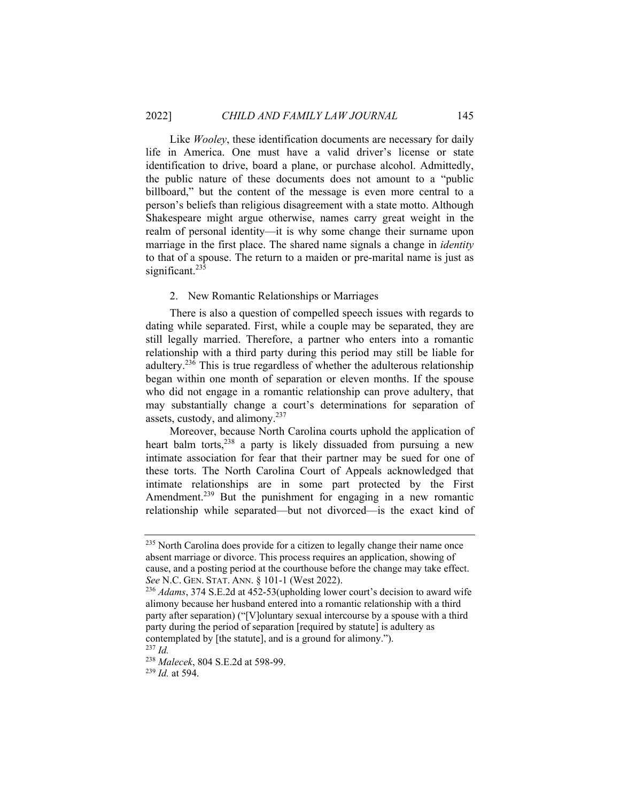Like *Wooley*, these identification documents are necessary for daily life in America. One must have a valid driver's license or state identification to drive, board a plane, or purchase alcohol. Admittedly, the public nature of these documents does not amount to a "public billboard," but the content of the message is even more central to a person's beliefs than religious disagreement with a state motto. Although Shakespeare might argue otherwise, names carry great weight in the realm of personal identity—it is why some change their surname upon marriage in the first place. The shared name signals a change in *identity* to that of a spouse. The return to a maiden or pre-marital name is just as significant.<sup>235</sup>

#### 2. New Romantic Relationships or Marriages

There is also a question of compelled speech issues with regards to dating while separated. First, while a couple may be separated, they are still legally married. Therefore, a partner who enters into a romantic relationship with a third party during this period may still be liable for adultery.236 This is true regardless of whether the adulterous relationship began within one month of separation or eleven months. If the spouse who did not engage in a romantic relationship can prove adultery, that may substantially change a court's determinations for separation of assets, custody, and alimony.<sup>237</sup>

Moreover, because North Carolina courts uphold the application of heart balm torts,<sup>238</sup> a party is likely dissuaded from pursuing a new intimate association for fear that their partner may be sued for one of these torts. The North Carolina Court of Appeals acknowledged that intimate relationships are in some part protected by the First Amendment.<sup>239</sup> But the punishment for engaging in a new romantic relationship while separated—but not divorced—is the exact kind of

<sup>238</sup> *Malecek*, 804 S.E.2d at 598-99. 239 *Id.* at 594.

<sup>&</sup>lt;sup>235</sup> North Carolina does provide for a citizen to legally change their name once absent marriage or divorce. This process requires an application, showing of cause, and a posting period at the courthouse before the change may take effect. *See* N.C. GEN. STAT. ANN. § 101-1 (West 2022).<br><sup>236</sup> *Adams*, 374 S.E.2d at 452-53(upholding lower court's decision to award wife

alimony because her husband entered into a romantic relationship with a third party after separation) ("[V]oluntary sexual intercourse by a spouse with a third party during the period of separation [required by statute] is adultery as contemplated by [the statute], and is a ground for alimony."). 237 *Id.*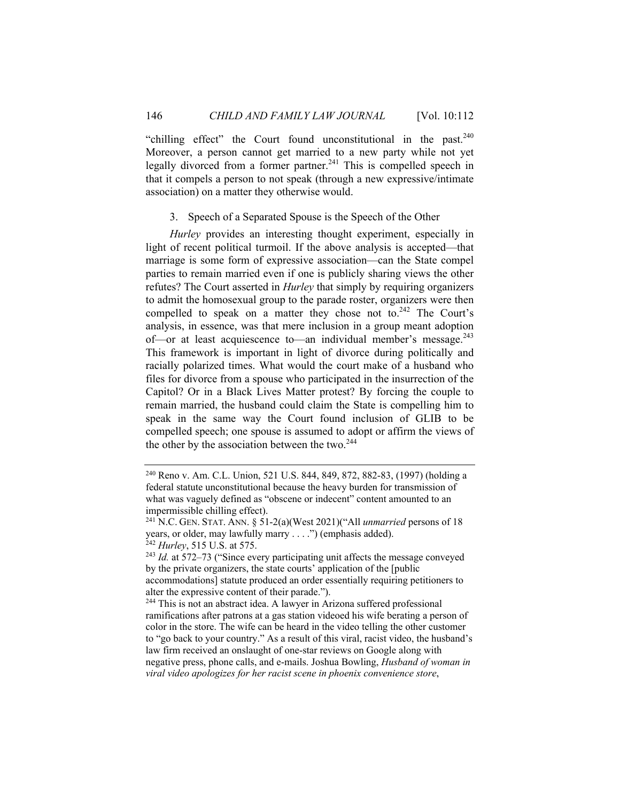"chilling effect" the Court found unconstitutional in the past. $240$ Moreover, a person cannot get married to a new party while not yet legally divorced from a former partner.<sup>241</sup> This is compelled speech in that it compels a person to not speak (through a new expressive/intimate association) on a matter they otherwise would.

#### 3. Speech of a Separated Spouse is the Speech of the Other

*Hurley* provides an interesting thought experiment, especially in light of recent political turmoil. If the above analysis is accepted—that marriage is some form of expressive association—can the State compel parties to remain married even if one is publicly sharing views the other refutes? The Court asserted in *Hurley* that simply by requiring organizers to admit the homosexual group to the parade roster, organizers were then compelled to speak on a matter they chose not to.<sup>242</sup> The Court's analysis, in essence, was that mere inclusion in a group meant adoption of—or at least acquiescence to—an individual member's message.<sup>243</sup> This framework is important in light of divorce during politically and racially polarized times. What would the court make of a husband who files for divorce from a spouse who participated in the insurrection of the Capitol? Or in a Black Lives Matter protest? By forcing the couple to remain married, the husband could claim the State is compelling him to speak in the same way the Court found inclusion of GLIB to be compelled speech; one spouse is assumed to adopt or affirm the views of the other by the association between the two.<sup>244</sup>

<sup>240</sup> Reno v. Am. C.L. Union, 521 U.S. 844, 849, 872, 882-83, (1997) (holding a federal statute unconstitutional because the heavy burden for transmission of what was vaguely defined as "obscene or indecent" content amounted to an impermissible chilling effect).

<sup>241</sup> N.C. GEN. STAT. ANN. § 51-2(a)(West 2021)("All *unmarried* persons of 18 years, or older, may lawfully marry . . . .") (emphasis added).

<sup>&</sup>lt;sup>242</sup> *Hurley*, 515 U.S. at 575.<br><sup>243</sup> *Id.* at 572–73 ("Since every participating unit affects the message conveyed by the private organizers, the state courts' application of the [public accommodations] statute produced an order essentially requiring petitioners to alter the expressive content of their parade."). 244 This is not an abstract idea. A lawyer in Arizona suffered professional

ramifications after patrons at a gas station videoed his wife berating a person of color in the store. The wife can be heard in the video telling the other customer to "go back to your country." As a result of this viral, racist video, the husband's law firm received an onslaught of one-star reviews on Google along with negative press, phone calls, and e-mails. Joshua Bowling, *Husband of woman in viral video apologizes for her racist scene in phoenix convenience store*,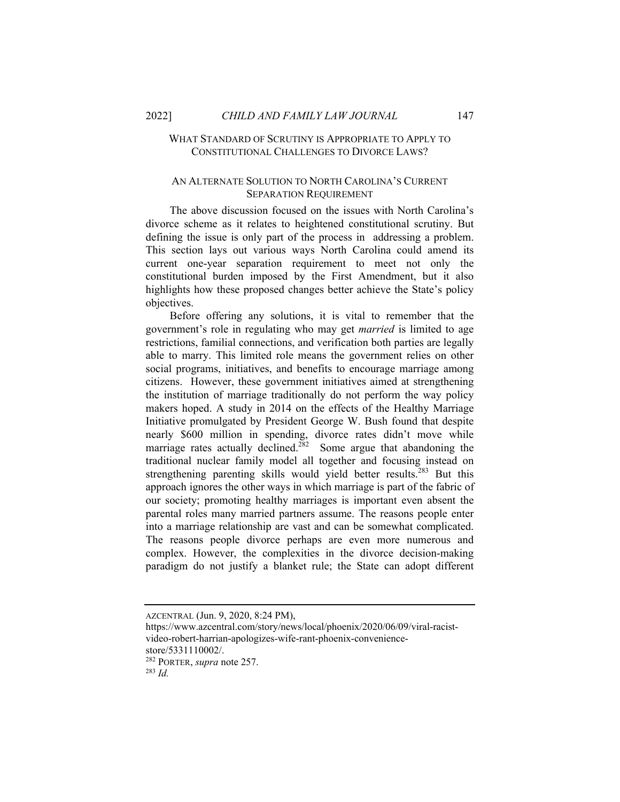#### WHAT STANDARD OF SCRUTINY IS APPROPRIATE TO APPLY TO CONSTITUTIONAL CHALLENGES TO DIVORCE LAWS?

#### AN ALTERNATE SOLUTION TO NORTH CAROLINA'S CURRENT SEPARATION REQUIREMENT

The above discussion focused on the issues with North Carolina's divorce scheme as it relates to heightened constitutional scrutiny. But defining the issue is only part of the process in addressing a problem. This section lays out various ways North Carolina could amend its current one-year separation requirement to meet not only the constitutional burden imposed by the First Amendment, but it also highlights how these proposed changes better achieve the State's policy objectives.

Before offering any solutions, it is vital to remember that the government's role in regulating who may get *married* is limited to age restrictions, familial connections, and verification both parties are legally able to marry. This limited role means the government relies on other social programs, initiatives, and benefits to encourage marriage among citizens. However, these government initiatives aimed at strengthening the institution of marriage traditionally do not perform the way policy makers hoped. A study in 2014 on the effects of the Healthy Marriage Initiative promulgated by President George W. Bush found that despite nearly \$600 million in spending, divorce rates didn't move while marriage rates actually declined.<sup>282</sup> Some argue that abandoning the traditional nuclear family model all together and focusing instead on strengthening parenting skills would yield better results.<sup>283</sup> But this approach ignores the other ways in which marriage is part of the fabric of our society; promoting healthy marriages is important even absent the parental roles many married partners assume. The reasons people enter into a marriage relationship are vast and can be somewhat complicated. The reasons people divorce perhaps are even more numerous and complex. However, the complexities in the divorce decision-making paradigm do not justify a blanket rule; the State can adopt different

AZCENTRAL (Jun. 9, 2020, 8:24 PM),

https://www.azcentral.com/story/news/local/phoenix/2020/06/09/viral-racistvideo-robert-harrian-apologizes-wife-rant-phoenix-conveniencestore/5331110002/.

<sup>282</sup> PORTER, *supra* note 257. 283 *Id.*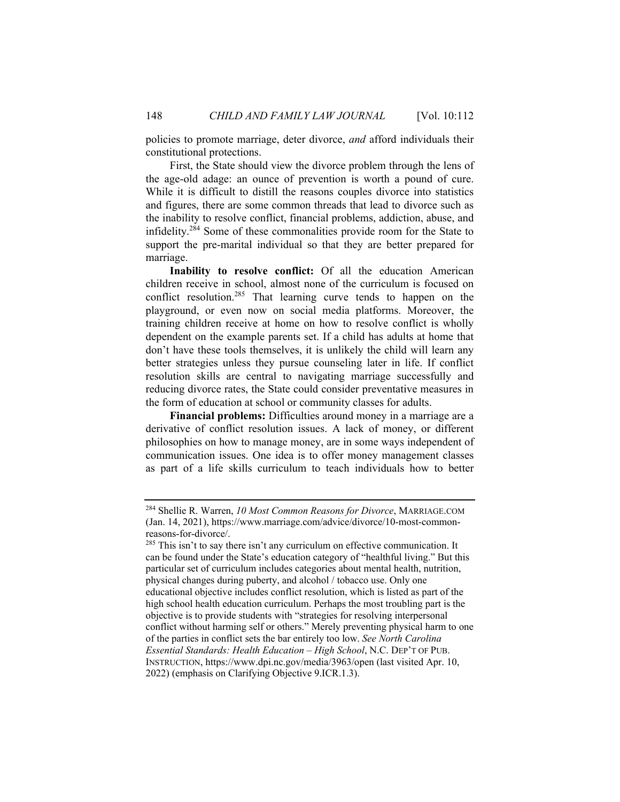policies to promote marriage, deter divorce, *and* afford individuals their constitutional protections.

First, the State should view the divorce problem through the lens of the age-old adage: an ounce of prevention is worth a pound of cure. While it is difficult to distill the reasons couples divorce into statistics and figures, there are some common threads that lead to divorce such as the inability to resolve conflict, financial problems, addiction, abuse, and infidelity.<sup>284</sup> Some of these commonalities provide room for the State to support the pre-marital individual so that they are better prepared for marriage.

**Inability to resolve conflict:** Of all the education American children receive in school, almost none of the curriculum is focused on conflict resolution.285 That learning curve tends to happen on the playground, or even now on social media platforms. Moreover, the training children receive at home on how to resolve conflict is wholly dependent on the example parents set. If a child has adults at home that don't have these tools themselves, it is unlikely the child will learn any better strategies unless they pursue counseling later in life. If conflict resolution skills are central to navigating marriage successfully and reducing divorce rates, the State could consider preventative measures in the form of education at school or community classes for adults.

**Financial problems:** Difficulties around money in a marriage are a derivative of conflict resolution issues. A lack of money, or different philosophies on how to manage money, are in some ways independent of communication issues. One idea is to offer money management classes as part of a life skills curriculum to teach individuals how to better

<sup>284</sup> Shellie R. Warren, *10 Most Common Reasons for Divorce*, MARRIAGE.COM (Jan. 14, 2021), https://www.marriage.com/advice/divorce/10-most-commonreasons-for-divorce/.

 $285$  This isn't to say there isn't any curriculum on effective communication. It can be found under the State's education category of "healthful living." But this particular set of curriculum includes categories about mental health, nutrition, physical changes during puberty, and alcohol / tobacco use. Only one educational objective includes conflict resolution, which is listed as part of the high school health education curriculum. Perhaps the most troubling part is the objective is to provide students with "strategies for resolving interpersonal conflict without harming self or others." Merely preventing physical harm to one of the parties in conflict sets the bar entirely too low. *See North Carolina Essential Standards: Health Education – High School*, N.C. DEP'T OF PUB. INSTRUCTION, https://www.dpi.nc.gov/media/3963/open (last visited Apr. 10, 2022) (emphasis on Clarifying Objective 9.ICR.1.3).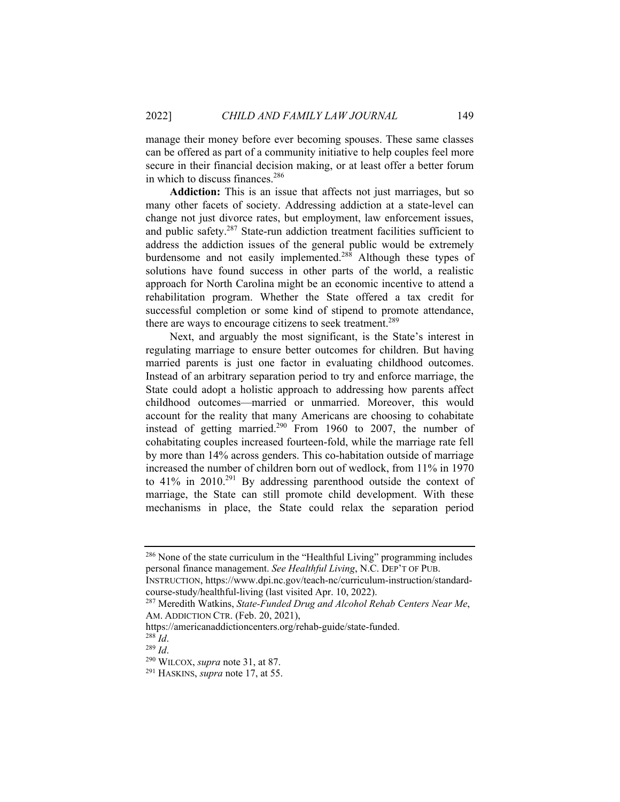manage their money before ever becoming spouses. These same classes can be offered as part of a community initiative to help couples feel more secure in their financial decision making, or at least offer a better forum in which to discuss finances.<sup>286</sup>

**Addiction:** This is an issue that affects not just marriages, but so many other facets of society. Addressing addiction at a state-level can change not just divorce rates, but employment, law enforcement issues, and public safety.287 State-run addiction treatment facilities sufficient to address the addiction issues of the general public would be extremely burdensome and not easily implemented.<sup>288</sup> Although these types of solutions have found success in other parts of the world, a realistic approach for North Carolina might be an economic incentive to attend a rehabilitation program. Whether the State offered a tax credit for successful completion or some kind of stipend to promote attendance, there are ways to encourage citizens to seek treatment.<sup>289</sup>

Next, and arguably the most significant, is the State's interest in regulating marriage to ensure better outcomes for children. But having married parents is just one factor in evaluating childhood outcomes. Instead of an arbitrary separation period to try and enforce marriage, the State could adopt a holistic approach to addressing how parents affect childhood outcomes—married or unmarried. Moreover, this would account for the reality that many Americans are choosing to cohabitate instead of getting married.<sup>290</sup> From 1960 to 2007, the number of cohabitating couples increased fourteen-fold, while the marriage rate fell by more than 14% across genders. This co-habitation outside of marriage increased the number of children born out of wedlock, from 11% in 1970 to  $41\%$  in  $2010.<sup>291</sup>$  By addressing parenthood outside the context of marriage, the State can still promote child development. With these mechanisms in place, the State could relax the separation period

INSTRUCTION, https://www.dpi.nc.gov/teach-nc/curriculum-instruction/standardcourse-study/healthful-living (last visited Apr. 10, 2022).

<sup>&</sup>lt;sup>286</sup> None of the state curriculum in the "Healthful Living" programming includes personal finance management. *See Healthful Living*, N.C. DEP'T OF PUB.

<sup>287</sup> Meredith Watkins, *State-Funded Drug and Alcohol Rehab Centers Near Me*, AM. ADDICTION CTR. (Feb. 20, 2021),

https://americanaddictioncenters.org/rehab-guide/state-funded.<br><sup>288</sup> Id.

<sup>288</sup> *Id*. 289 *Id*. 290 WILCOX, *supra* note 31, at 87. 291 HASKINS, *supra* note 17, at 55.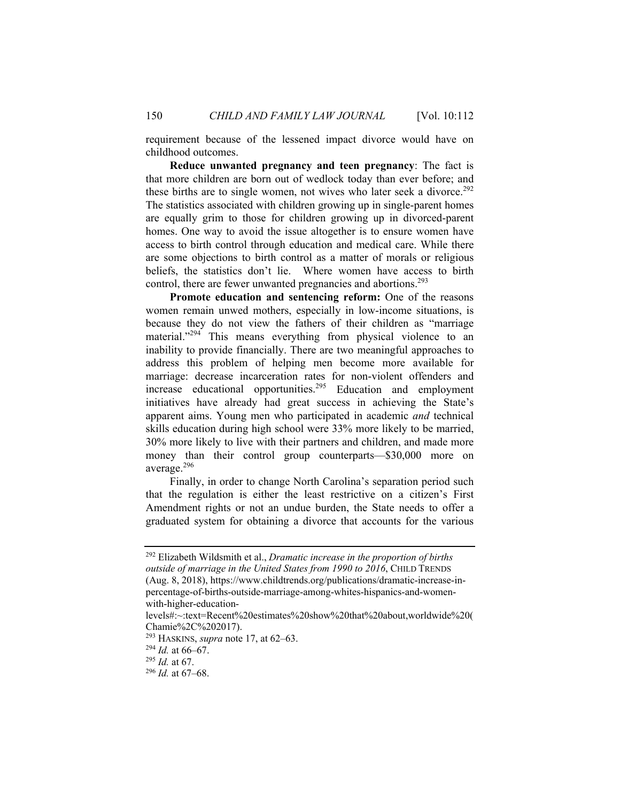requirement because of the lessened impact divorce would have on childhood outcomes.

**Reduce unwanted pregnancy and teen pregnancy**: The fact is that more children are born out of wedlock today than ever before; and these births are to single women, not wives who later seek a divorce.<sup>292</sup> The statistics associated with children growing up in single-parent homes are equally grim to those for children growing up in divorced-parent homes. One way to avoid the issue altogether is to ensure women have access to birth control through education and medical care. While there are some objections to birth control as a matter of morals or religious beliefs, the statistics don't lie. Where women have access to birth control, there are fewer unwanted pregnancies and abortions.<sup>293</sup>

**Promote education and sentencing reform:** One of the reasons women remain unwed mothers, especially in low-income situations, is because they do not view the fathers of their children as "marriage material."<sup>294</sup> This means everything from physical violence to an inability to provide financially. There are two meaningful approaches to address this problem of helping men become more available for marriage: decrease incarceration rates for non-violent offenders and increase educational opportunities.295 Education and employment initiatives have already had great success in achieving the State's apparent aims. Young men who participated in academic *and* technical skills education during high school were 33% more likely to be married, 30% more likely to live with their partners and children, and made more money than their control group counterparts—\$30,000 more on average.<sup>296</sup>

Finally, in order to change North Carolina's separation period such that the regulation is either the least restrictive on a citizen's First Amendment rights or not an undue burden, the State needs to offer a graduated system for obtaining a divorce that accounts for the various

<sup>292</sup> Elizabeth Wildsmith et al., *Dramatic increase in the proportion of births outside of marriage in the United States from 1990 to 2016*, CHILD TRENDS (Aug. 8, 2018), https://www.childtrends.org/publications/dramatic-increase-inpercentage-of-births-outside-marriage-among-whites-hispanics-and-womenwith-higher-education-

levels#:~:text=Recent%20estimates%20show%20that%20about,worldwide%20( Chamie%2C%202017).

<sup>293</sup> HASKINS, *supra* note 17, at 62–63. 294 *Id.* at 66–67. 295 *Id.* at 67. 296 *Id.* at 67–68.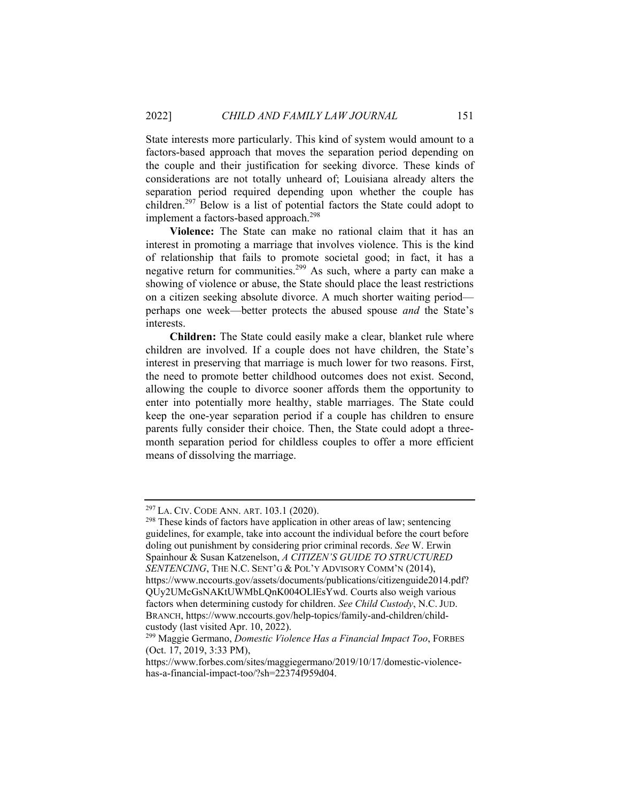State interests more particularly. This kind of system would amount to a factors-based approach that moves the separation period depending on the couple and their justification for seeking divorce. These kinds of considerations are not totally unheard of; Louisiana already alters the separation period required depending upon whether the couple has children.297 Below is a list of potential factors the State could adopt to implement a factors-based approach.<sup>298</sup>

**Violence:** The State can make no rational claim that it has an interest in promoting a marriage that involves violence. This is the kind of relationship that fails to promote societal good; in fact, it has a negative return for communities.299 As such, where a party can make a showing of violence or abuse, the State should place the least restrictions on a citizen seeking absolute divorce. A much shorter waiting period perhaps one week—better protects the abused spouse *and* the State's interests.

**Children:** The State could easily make a clear, blanket rule where children are involved. If a couple does not have children, the State's interest in preserving that marriage is much lower for two reasons. First, the need to promote better childhood outcomes does not exist. Second, allowing the couple to divorce sooner affords them the opportunity to enter into potentially more healthy, stable marriages. The State could keep the one-year separation period if a couple has children to ensure parents fully consider their choice. Then, the State could adopt a threemonth separation period for childless couples to offer a more efficient means of dissolving the marriage.

<sup>&</sup>lt;sup>297</sup> LA. CIV. CODE ANN. ART. 103.1 (2020). <sup>298</sup> These kinds of factors have application in other areas of law; sentencing guidelines, for example, take into account the individual before the court before doling out punishment by considering prior criminal records. *See* W. Erwin Spainhour & Susan Katzenelson, *A CITIZEN'S GUIDE TO STRUCTURED*  SENTENCING, THE N.C. SENT'G & POL'Y ADVISORY COMM'N (2014), https://www.nccourts.gov/assets/documents/publications/citizenguide2014.pdf? QUy2UMcGsNAKtUWMbLQnK004OLlEsYwd. Courts also weigh various factors when determining custody for children. *See Child Custody*, N.C. JUD. BRANCH, https://www.nccourts.gov/help-topics/family-and-children/childcustody (last visited Apr. 10, 2022).

<sup>299</sup> Maggie Germano, *Domestic Violence Has a Financial Impact Too*, FORBES (Oct. 17, 2019, 3:33 PM),

https://www.forbes.com/sites/maggiegermano/2019/10/17/domestic-violencehas-a-financial-impact-too/?sh=22374f959d04.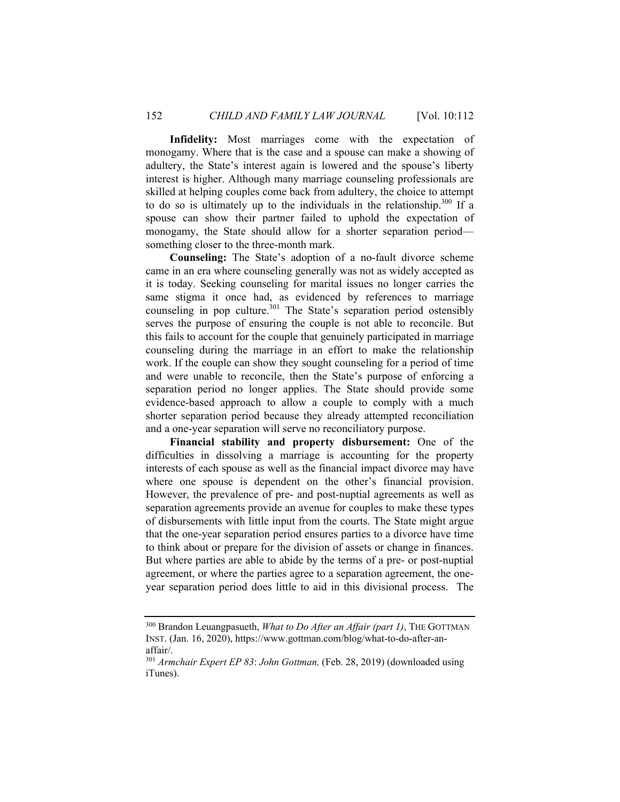**Infidelity:** Most marriages come with the expectation of monogamy. Where that is the case and a spouse can make a showing of adultery, the State's interest again is lowered and the spouse's liberty interest is higher. Although many marriage counseling professionals are skilled at helping couples come back from adultery, the choice to attempt to do so is ultimately up to the individuals in the relationship.<sup>300</sup> If a spouse can show their partner failed to uphold the expectation of monogamy, the State should allow for a shorter separation period something closer to the three-month mark.

**Counseling:** The State's adoption of a no-fault divorce scheme came in an era where counseling generally was not as widely accepted as it is today. Seeking counseling for marital issues no longer carries the same stigma it once had, as evidenced by references to marriage counseling in pop culture.<sup>301</sup> The State's separation period ostensibly serves the purpose of ensuring the couple is not able to reconcile. But this fails to account for the couple that genuinely participated in marriage counseling during the marriage in an effort to make the relationship work. If the couple can show they sought counseling for a period of time and were unable to reconcile, then the State's purpose of enforcing a separation period no longer applies. The State should provide some evidence-based approach to allow a couple to comply with a much shorter separation period because they already attempted reconciliation and a one-year separation will serve no reconciliatory purpose.

**Financial stability and property disbursement:** One of the difficulties in dissolving a marriage is accounting for the property interests of each spouse as well as the financial impact divorce may have where one spouse is dependent on the other's financial provision. However, the prevalence of pre- and post-nuptial agreements as well as separation agreements provide an avenue for couples to make these types of disbursements with little input from the courts. The State might argue that the one-year separation period ensures parties to a divorce have time to think about or prepare for the division of assets or change in finances. But where parties are able to abide by the terms of a pre- or post-nuptial agreement, or where the parties agree to a separation agreement, the oneyear separation period does little to aid in this divisional process. The

<sup>300</sup> Brandon Leuangpasueth, *What to Do After an Affair (part 1)*, THE GOTTMAN INST. (Jan. 16, 2020), https://www.gottman.com/blog/what-to-do-after-anaffair/.

<sup>301</sup> *Armchair Expert EP 83*: *John Gottman,* (Feb. 28, 2019) (downloaded using iTunes).